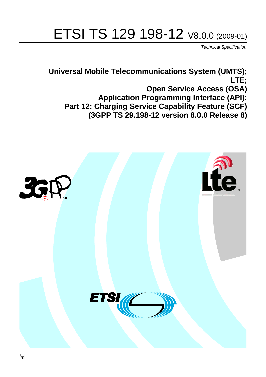# ETSI TS 129 198-12 V8.0.0 (2009-01)

*Technical Specification*

**Universal Mobile Telecommunications System (UMTS); LTE; Open Service Access (OSA) Application Programming Interface (API); Part 12: Charging Service Capability Feature (SCF) (3GPP TS 29.198-12 version 8.0.0 Release 8)**

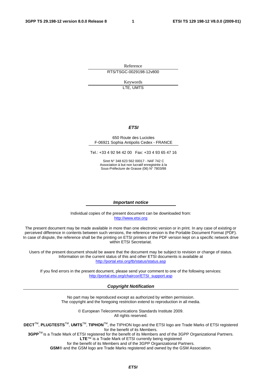Reference RTS/TSGC-0029198-12v800

> Keywords LTE, UMTS

#### *ETSI*

#### 650 Route des Lucioles F-06921 Sophia Antipolis Cedex - FRANCE

Tel.: +33 4 92 94 42 00 Fax: +33 4 93 65 47 16

Siret N° 348 623 562 00017 - NAF 742 C Association à but non lucratif enregistrée à la Sous-Préfecture de Grasse (06) N° 7803/88

#### *Important notice*

Individual copies of the present document can be downloaded from: [http://www.etsi.org](http://www.etsi.org/)

The present document may be made available in more than one electronic version or in print. In any case of existing or perceived difference in contents between such versions, the reference version is the Portable Document Format (PDF). In case of dispute, the reference shall be the printing on ETSI printers of the PDF version kept on a specific network drive within ETSI Secretariat.

Users of the present document should be aware that the document may be subject to revision or change of status. Information on the current status of this and other ETSI documents is available at <http://portal.etsi.org/tb/status/status.asp>

If you find errors in the present document, please send your comment to one of the following services: [http://portal.etsi.org/chaircor/ETSI\\_support.asp](http://portal.etsi.org/chaircor/ETSI_support.asp)

#### *Copyright Notification*

No part may be reproduced except as authorized by written permission. The copyright and the foregoing restriction extend to reproduction in all media.

> © European Telecommunications Standards Institute 2009. All rights reserved.

**DECT**TM, **PLUGTESTS**TM, **UMTS**TM, **TIPHON**TM, the TIPHON logo and the ETSI logo are Trade Marks of ETSI registered for the benefit of its Members.

**3GPP**TM is a Trade Mark of ETSI registered for the benefit of its Members and of the 3GPP Organizational Partners. **LTE**™ is a Trade Mark of ETSI currently being registered

for the benefit of its Members and of the 3GPP Organizational Partners.

**GSM**® and the GSM logo are Trade Marks registered and owned by the GSM Association.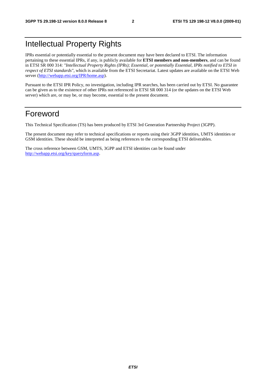## Intellectual Property Rights

IPRs essential or potentially essential to the present document may have been declared to ETSI. The information pertaining to these essential IPRs, if any, is publicly available for **ETSI members and non-members**, and can be found in ETSI SR 000 314: *"Intellectual Property Rights (IPRs); Essential, or potentially Essential, IPRs notified to ETSI in respect of ETSI standards"*, which is available from the ETSI Secretariat. Latest updates are available on the ETSI Web server [\(http://webapp.etsi.org/IPR/home.asp](http://webapp.etsi.org/IPR/home.asp)).

Pursuant to the ETSI IPR Policy, no investigation, including IPR searches, has been carried out by ETSI. No guarantee can be given as to the existence of other IPRs not referenced in ETSI SR 000 314 (or the updates on the ETSI Web server) which are, or may be, or may become, essential to the present document.

## Foreword

This Technical Specification (TS) has been produced by ETSI 3rd Generation Partnership Project (3GPP).

The present document may refer to technical specifications or reports using their 3GPP identities, UMTS identities or GSM identities. These should be interpreted as being references to the corresponding ETSI deliverables.

The cross reference between GSM, UMTS, 3GPP and ETSI identities can be found under <http://webapp.etsi.org/key/queryform.asp>.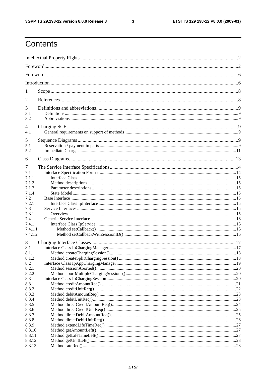$\mathbf{3}$ 

## Contents

| 1                     |  |  |  |
|-----------------------|--|--|--|
| 2                     |  |  |  |
| 3<br>3.1<br>3.2       |  |  |  |
| $\overline{4}$<br>4.1 |  |  |  |
| 5<br>5.1<br>5.2       |  |  |  |
| 6                     |  |  |  |
| 7<br>7.1              |  |  |  |
| 7.1.1                 |  |  |  |
| 7.1.2                 |  |  |  |
| 7.1.3<br>7.1.4        |  |  |  |
| 7.2                   |  |  |  |
| 7.2.1                 |  |  |  |
| 7.3                   |  |  |  |
| 7.3.1                 |  |  |  |
| 7.4                   |  |  |  |
| 7.4.1                 |  |  |  |
| 7.4.1.1               |  |  |  |
| 7.4.1.2               |  |  |  |
| 8                     |  |  |  |
| 8.1                   |  |  |  |
| 8.1.1                 |  |  |  |
| 8.1.2                 |  |  |  |
| 8.2                   |  |  |  |
| 8.2.1                 |  |  |  |
| 8.2.2                 |  |  |  |
| 8.3                   |  |  |  |
| 8.3.1<br>8.3.2        |  |  |  |
| 8.3.3                 |  |  |  |
| 8.3.4                 |  |  |  |
| 8.3.5                 |  |  |  |
| 8.3.6                 |  |  |  |
| 8.3.7                 |  |  |  |
| 8.3.8                 |  |  |  |
| 8.3.9                 |  |  |  |
| 8.3.10                |  |  |  |
| 8.3.11                |  |  |  |
| 8.3.12                |  |  |  |
| 8.3.13                |  |  |  |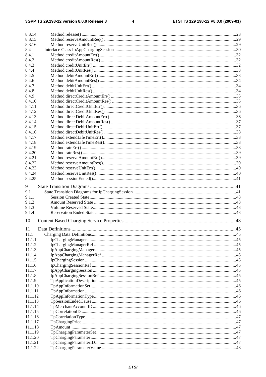$\overline{\mathbf{4}}$ 

| 8.3.14  |  |
|---------|--|
| 8.3.15  |  |
| 8.3.16  |  |
| 8.4     |  |
| 8.4.1   |  |
| 8.4.2   |  |
| 8.4.3   |  |
| 8.4.4   |  |
| 8.4.5   |  |
| 8.4.6   |  |
| 8.4.7   |  |
| 8.4.8   |  |
| 8.4.9   |  |
| 8.4.10  |  |
| 8.4.11  |  |
| 8.4.12  |  |
| 8.4.13  |  |
| 8.4.14  |  |
| 8.4.15  |  |
| 8.4.16  |  |
| 8.4.17  |  |
| 8.4.18  |  |
| 8.4.19  |  |
| 8.4.20  |  |
| 8.4.21  |  |
| 8.4.22  |  |
| 8.4.23  |  |
| 8.4.24  |  |
| 8.4.25  |  |
|         |  |
| 9       |  |
| 9.1     |  |
| 9.1.1   |  |
| 9.1.2   |  |
| 9.1.3   |  |
| 9.1.4   |  |
| 10      |  |
|         |  |
| 11      |  |
| 11.1    |  |
| 11.1.1  |  |
| 11.1.2  |  |
| 11.1.3  |  |
| 11.1.4  |  |
| 11.1.5  |  |
| 11.1.6  |  |
| 11.1.7  |  |
| 11.1.8  |  |
| 11.1.9  |  |
| 11.1.10 |  |
| 11.1.11 |  |
| 11.1.12 |  |
| 11.1.13 |  |
| 11.1.14 |  |
| 11.1.15 |  |
| 11.1.16 |  |
| 11.1.17 |  |
| 11.1.18 |  |
| 11.1.19 |  |
| 11.1.20 |  |
| 11.1.21 |  |
| 11.1.22 |  |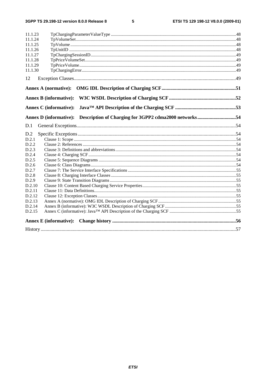$5\phantom{a}$ 

| 11.1.23                                                                                |  |
|----------------------------------------------------------------------------------------|--|
| 11.1.24                                                                                |  |
| 11.1.25                                                                                |  |
| 11.1.26                                                                                |  |
| 11.1.27                                                                                |  |
| 11.1.28                                                                                |  |
| 11.1.29                                                                                |  |
| 11.1.30                                                                                |  |
| 12                                                                                     |  |
|                                                                                        |  |
|                                                                                        |  |
|                                                                                        |  |
| Description of Charging for 3GPP2 cdma2000 networks54<br><b>Annex D</b> (informative): |  |
| D.1                                                                                    |  |
| D.2                                                                                    |  |
| D.2.1                                                                                  |  |
| D.2.2                                                                                  |  |
| D.2.3                                                                                  |  |
| D.2.4                                                                                  |  |
| D.2.5                                                                                  |  |
| D.2.6                                                                                  |  |
| D.2.7                                                                                  |  |
| D.2.8                                                                                  |  |
| D.2.9                                                                                  |  |
| D.2.10                                                                                 |  |
| D.2.11                                                                                 |  |
| D.2.12                                                                                 |  |
| D.2.13                                                                                 |  |
| D.2.14                                                                                 |  |
| D.2.15                                                                                 |  |
| <b>Annex E</b> (informative):                                                          |  |
|                                                                                        |  |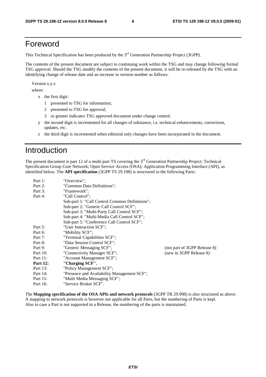## Foreword

This Technical Specification has been produced by the 3<sup>rd</sup> Generation Partnership Project (3GPP).

The contents of the present document are subject to continuing work within the TSG and may change following formal TSG approval. Should the TSG modify the contents of the present document, it will be re-released by the TSG with an identifying change of release date and an increase in version number as follows:

Version x.y.z

where:

- x the first digit:
	- 1 presented to TSG for information;
	- 2 presented to TSG for approval;
	- 3 or greater indicates TSG approved document under change control.
- y the second digit is incremented for all changes of substance, i.e. technical enhancements, corrections, updates, etc.
- z the third digit is incremented when editorial only changes have been incorporated in the document.

## Introduction

The present document is part 12 of a multi-part TS covering the 3<sup>rd</sup> Generation Partnership Project: Technical Specification Group Core Network; Open Service Access (OSA); Application Programming Interface (API), as identified below. The **API specification** (3GPP TS 29.198) is structured in the following Parts:

| Part 1:         | "Overview":                                    |                              |
|-----------------|------------------------------------------------|------------------------------|
| Part 2:         | "Common Data Definitions";                     |                              |
| Part 3:         | "Framework":                                   |                              |
| Part 4:         | "Call Control":                                |                              |
|                 | Sub-part 1: "Call Control Common Definitions"; |                              |
|                 | Sub-part 2: "Generic Call Control SCF";        |                              |
|                 | Sub-part 3: "Multi-Party Call Control SCF";    |                              |
|                 | Sub-part 4: "Multi-Media Call Control SCF";    |                              |
|                 | Sub-part 5: "Conference Call Control SCF";     |                              |
| Part 5:         | "User Interaction SCF":                        |                              |
| Part 6:         | "Mobility SCF";                                |                              |
| Part 7:         | "Terminal Capabilities SCF";                   |                              |
| Part 8:         | "Data Session Control SCF";                    |                              |
| Part 9:         | "Generic Messaging SCF";                       | (not part of 3GPP Release 8) |
| Part 10:        | "Connectivity Manager SCF";                    | (new in 3GPP Release 8)      |
| Part 11:        | "Account Management SCF";                      |                              |
| <b>Part 12:</b> | "Charging SCF".                                |                              |
| Part 13:        | "Policy Management SCF";                       |                              |
| Part 14:        | "Presence and Availability Management SCF";    |                              |
| Part 15:        | "Multi Media Messaging SCF";                   |                              |
| Part 16:        | "Service Broker SCF".                          |                              |

The **Mapping specification of the OSA APIs and network protocols** (3GPP TR 29.998) is also structured as above. A mapping to network protocols is however not applicable for all Parts, but the numbering of Parts is kept. Also in case a Part is not supported in a Release, the numbering of the parts is maintained.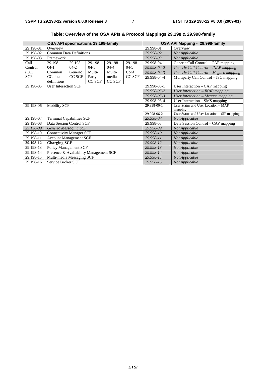| OSA API specifications 29.198-family |                                        |         |         |          |           | OSA API Mapping - 29.998-family |                                             |
|--------------------------------------|----------------------------------------|---------|---------|----------|-----------|---------------------------------|---------------------------------------------|
| 29.198-01                            | Overview                               |         |         |          | 29.998-01 | Overview                        |                                             |
| 29.198-02                            | <b>Common Data Definitions</b>         |         |         |          |           | 29.998-02                       | Not Applicable                              |
| 29.198-03                            | Framework                              |         |         |          |           | 29.998-03                       | Not Applicable                              |
| Call                                 | 29.198-                                | 29.198- | 29.198- | 29.198-  | 29.198-   | 29.998-04-1                     | Generic Call Control - CAP mapping          |
| Control                              | $04-1$                                 | $04-2$  | $04-3$  | $04 - 4$ | $04-5$    | 29.998-04-2                     | Generic Call Control - INAP mapping         |
| (CC)                                 | Common                                 | Generic | Multi-  | Multi-   | Conf      | 29.998-04-3                     | Generic Call Control - Megaco mapping       |
| <b>SCF</b>                           | CC data                                | CC SCF  | Party   | media    | CC SCF    | 29.998-04-4                     | Multiparty Call Control – ISC mapping       |
|                                      | definitions                            |         | CC SCF  | CC SCF   |           |                                 |                                             |
| 29.198-05                            | <b>User Interaction SCF</b>            |         |         |          |           | 29.998-05-1                     | User Interaction $-$ CAP mapping            |
|                                      |                                        |         |         |          |           | 29.998-05-2                     | User Interaction - INAP mapping             |
|                                      |                                        |         |         |          |           | 29.998-05-3                     | User Interaction - Megaco mapping           |
|                                      |                                        |         |         |          |           | 29.998-05-4                     | User Interaction - SMS mapping              |
| 29.198-06                            | <b>Mobility SCF</b>                    |         |         |          |           | 29.998-06-1                     | User Status and User Location - MAP         |
|                                      |                                        |         |         |          |           | mapping                         |                                             |
|                                      |                                        |         |         |          |           | 29.998-06-2                     | User Status and User Location - SIP mapping |
| 29.198-07                            | <b>Terminal Capabilities SCF</b>       |         |         |          |           | 29.998-07                       | Not Applicable                              |
| 29.198-08                            | Data Session Control SCF               |         |         |          |           | 29.998-08                       | Data Session Control – CAP mapping          |
| 29.198-09                            | <b>Generic Messaging SCF</b>           |         |         |          |           | 29.998-09                       | Not Applicable                              |
| 29.198-10                            | <b>Connectivity Manager SCF</b>        |         |         |          |           | 29.998-10                       | Not Applicable                              |
| 29.198-11                            | <b>Account Management SCF</b>          |         |         |          |           | 29.998-11                       | Not Applicable                              |
| 29.198-12                            | <b>Charging SCF</b>                    |         |         |          |           | 29.998-12                       | Not Applicable                              |
| 29.198-13                            | Policy Management SCF                  |         |         |          | 29.998-13 | Not Applicable                  |                                             |
| 29.198-14                            | Presence & Availability Management SCF |         |         |          | 29.998-14 | Not Applicable                  |                                             |
| 29.198-15                            | Multi-media Messaging SCF              |         |         |          |           | 29.998-15                       | Not Applicable                              |
| 29.198-16                            | Service Broker SCF                     |         |         |          |           | 29.998-16                       | Not Applicable                              |

**Table: Overview of the OSA APIs & Protocol Mappings 29.198 & 29.998-family**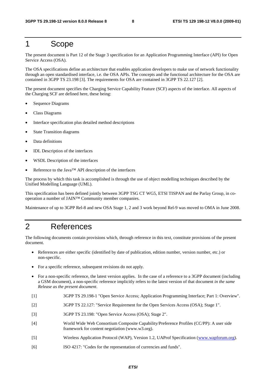## 1 Scope

The present document is Part 12 of the Stage 3 specification for an Application Programming Interface (API) for Open Service Access (OSA).

The OSA specifications define an architecture that enables application developers to make use of network functionality through an open standardised interface, i.e. the OSA APIs. The concepts and the functional architecture for the OSA are contained in 3GPP TS 23.198 [3]. The requirements for OSA are contained in 3GPP TS 22.127 [2].

The present document specifies the Charging Service Capability Feature (SCF) aspects of the interface. All aspects of the Charging SCF are defined here, these being:

- Sequence Diagrams
- Class Diagrams
- Interface specification plus detailed method descriptions
- State Transition diagrams
- Data definitions
- IDL Description of the interfaces
- WSDL Description of the interfaces
- Reference to the Java™ API description of the interfaces

The process by which this task is accomplished is through the use of object modelling techniques described by the Unified Modelling Language (UML).

This specification has been defined jointly between 3GPP TSG CT WG5, ETSI TISPAN and the Parlay Group, in cooperation a number of JAIN™ Community member companies.

Maintenance of up to 3GPP Rel-8 and new OSA Stage 1, 2 and 3 work beyond Rel-9 was moved to OMA in June 2008.

## 2 References

The following documents contain provisions which, through reference in this text, constitute provisions of the present document.

- References are either specific (identified by date of publication, edition number, version number, etc.) or non-specific.
- For a specific reference, subsequent revisions do not apply.
- For a non-specific reference, the latest version applies. In the case of a reference to a 3GPP document (including a GSM document), a non-specific reference implicitly refers to the latest version of that document *in the same Release as the present document*.
- [1] 3GPP TS 29.198-1 "Open Service Access; Application Programming Interface; Part 1: Overview".
- [2] 3GPP TS 22.127: "Service Requirement for the Open Services Access (OSA); Stage 1".
- [3] 3GPP TS 23.198: "Open Service Access (OSA); Stage 2".
- [4] World Wide Web Consortium Composite Capability/Preference Profiles (CC/PP): A user side framework for content negotiation (www.w3.org).
- [5] Wireless Application Protocol (WAP), Version 1.2, UAProf Specification ([www.wapforum.org](http://www.wapforum.org/)).
- [6] ISO 4217: "Codes for the representation of currencies and funds".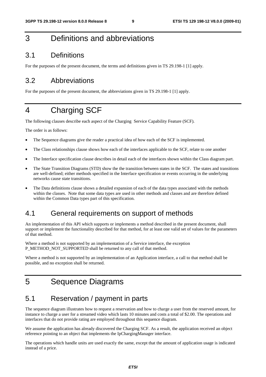## 3 Definitions and abbreviations

## 3.1 Definitions

For the purposes of the present document, the terms and definitions given in TS 29.198-1 [1] apply.

## 3.2 Abbreviations

For the purposes of the present document, the abbreviations given in TS 29.198-1 [1] apply.

## 4 Charging SCF

The following clauses describe each aspect of the Charging Service Capability Feature (SCF).

The order is as follows:

- The Sequence diagrams give the reader a practical idea of how each of the SCF is implemented.
- The Class relationships clause shows how each of the interfaces applicable to the SCF, relate to one another
- The Interface specification clause describes in detail each of the interfaces shown within the Class diagram part.
- The State Transition Diagrams (STD) show the the transition between states in the SCF. The states and transitions are well-defined; either methods specified in the Interface specification or events occurring in the underlying networks cause state transitions.
- The Data definitions clause shows a detailed expansion of each of the data types associated with the methods within the classes. Note that some data types are used in other methods and classes and are therefore defined within the Common Data types part of this specification.

## 4.1 General requirements on support of methods

An implementation of this API which supports or implements a method described in the present document, shall support or implement the functionality described for that method, for at least one valid set of values for the parameters of that method.

Where a method is not supported by an implementation of a Service interface, the exception P\_METHOD\_NOT\_SUPPORTED shall be returned to any call of that method.

Where a method is not supported by an implementation of an Application interface, a call to that method shall be possible, and no exception shall be returned.

## 5 Sequence Diagrams

## 5.1 Reservation / payment in parts

The sequence diagram illustrates how to request a reservation and how to charge a user from the reserved amount, for instance to charge a user for a streamed video which lasts 10 minutes and costs a total of \$2.00. The operations and interfaces that do not provide rating are employed throughout this sequence diagram.

We assume the application has already discovered the Charging SCF. As a result, the application received an object reference pointing to an object that implements the IpChargingManager interface.

The operations which handle units are used exactly the same, except that the amount of application usage is indicated instead of a price.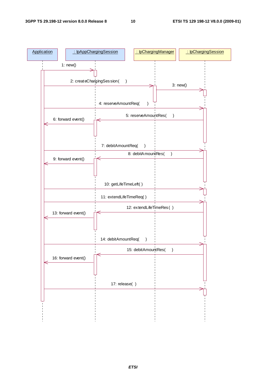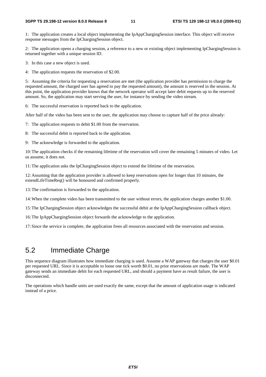1: The application creates a local object implementing the IpAppChargingSession interface. This object will receive response messages from the IpChargingSession object.

2: The application opens a charging session, a reference to a new or existing object implementing IpChargingSession is returned together with a unique session ID.

3: In this case a new object is used.

4: The application requests the reservation of \$2.00.

5: Assuming the criteria for requesting a reservation are met (the application provider has permission to charge the requested amount, the charged user has agreed to pay the requested amount), the amount is reserved in the session. At this point, the application provider knows that the network operator will accept later debit requests up to the reserved amount. So, the application may start serving the user, for instance by sending the video stream.

6: The successful reservation is reported back to the application.

After half of the video has been sent to the user, the application may choose to capture half of the price already:

7: The application requests to debit \$1.00 from the reservation.

8: The successful debit is reported back to the application.

9: The acknowledge is forwarded to the application.

10: The application checks if the remaining lifetime of the reservation will cover the remaining 5 minutes of video. Let us assume, it does not.

11: The application asks the IpChargingSession object to extend the lifetime of the reservation.

12: Assuming that the application provider is allowed to keep reservations open for longer than 10 minutes, the extendLifeTimeReq() will be honoured and confirmed properly.

13: The confirmation is forwarded to the application.

14: When the complete video has been transmitted to the user without errors, the application charges another \$1.00.

15: The IpChargingSession object acknowledges the successful debit at the IpAppChargingSession callback object.

16: The IpAppChargingSession object forwards the acknowledge to the application.

17: Since the service is complete, the application frees all resources associated with the reservation and session.

## 5.2 Immediate Charge

This sequence diagram illustrates how immediate charging is used. Assume a WAP gateway that charges the user \$0.01 per requested URL. Since it is acceptable to loose one tick worth \$0.01, no prior reservations are made. The WAP gateway sends an immediate debit for each requested URL, and should a payment have as result failure, the user is disconnected.

The operations which handle units are used exactly the same, except that the amount of application usage is indicated instead of a price.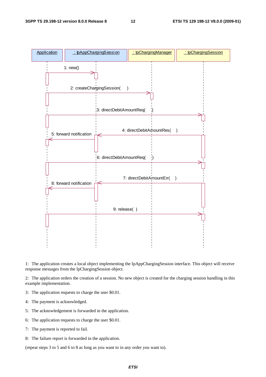

1: The application creates a local object implementing the IpAppChargingSession interface. This object will receive response messages from the IpChargingSession object.

2: The application orders the creation of a session. No new object is created for the charging session handling in this example implementation.

- 3: The application requests to charge the user \$0.01.
- 4: The payment is acknowledged.
- 5: The acknowledgement is forwarded in the application.
- 6: The application requests to charge the user \$0.01.
- 7: The payment is reported to fail.
- 8: The failure report is forwarded in the application.

(repeat steps 3 to 5 and 6 to 8 as long as you want to in any order you want to).

*ETSI*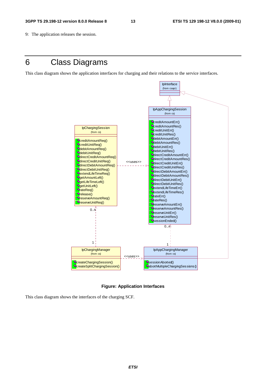9: The application releases the session.

## 6 Class Diagrams

This class diagram shows the application interfaces for charging and their relations to the service interfaces.



#### **Figure: Application Interfaces**

This class diagram shows the interfaces of the charging SCF.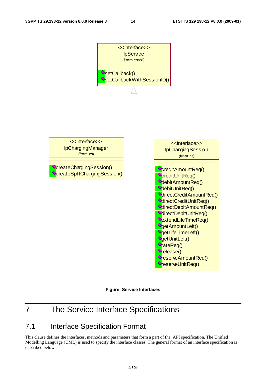

**Figure: Service Interfaces** 

## 7 The Service Interface Specifications

## 7.1 Interface Specification Format

This clause defines the interfaces, methods and parameters that form a part of the API specification. The Unified Modelling Language (UML) is used to specify the interface classes. The general format of an interface specification is described below.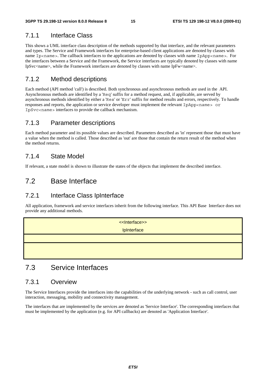## 7.1.1 Interface Class

This shows a UML interface class description of the methods supported by that interface, and the relevant parameters and types. The Service and Framework interfaces for enterprise-based client applications are denoted by classes with name Ip<name>. The callback interfaces to the applications are denoted by classes with name IpApp<name>. For the interfaces between a Service and the Framework, the Service interfaces are typically denoted by classes with name IpSvc<name>, while the Framework interfaces are denoted by classes with name IpFw<name>.

## 7.1.2 Method descriptions

Each method (API method 'call') is described. Both synchronous and asynchronous methods are used in the API. Asynchronous methods are identified by a 'Req' suffix for a method request, and, if applicable, are served by asynchronous methods identified by either a 'Res' or 'Err' suffix for method results and errors, respectively. To handle responses and reports, the application or service developer must implement the relevant IpApp<name> or IpSvc<name> interfaces to provide the callback mechanism.

## 7.1.3 Parameter descriptions

Each method parameter and its possible values are described. Parameters described as 'in' represent those that must have a value when the method is called. Those described as 'out' are those that contain the return result of the method when the method returns.

## 7.1.4 State Model

If relevant, a state model is shown to illustrate the states of the objects that implement the described interface.

## 7.2 Base Interface

## 7.2.1 Interface Class IpInterface

All application, framework and service interfaces inherit from the following interface. This API Base Interface does not provide any additional methods.



## 7.3 Service Interfaces

### 7.3.1 Overview

The Service Interfaces provide the interfaces into the capabilities of the underlying network - such as call control, user interaction, messaging, mobility and connectivity management.

The interfaces that are implemented by the services are denoted as 'Service Interface'. The corresponding interfaces that must be implemented by the application (e.g. for API callbacks) are denoted as 'Application Interface'.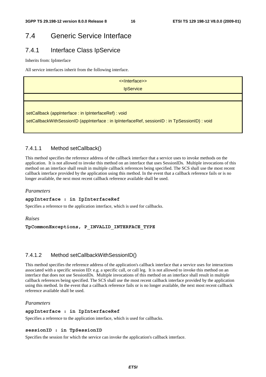## 7.4 Generic Service Interface

## 7.4.1 Interface Class IpService

Inherits from: IpInterface

All service interfaces inherit from the following interface.

| < <lnterface>&gt;</lnterface>                                                                  |  |  |  |  |
|------------------------------------------------------------------------------------------------|--|--|--|--|
| <b>IpService</b>                                                                               |  |  |  |  |
|                                                                                                |  |  |  |  |
|                                                                                                |  |  |  |  |
| setCallback (appInterface: in IpInterfaceRef) : void                                           |  |  |  |  |
| setCallbackWithSessionID (appInterface : in IpInterfaceRef, sessionID : in TpSessionID) : void |  |  |  |  |
|                                                                                                |  |  |  |  |

### 7.4.1.1 Method setCallback()

This method specifies the reference address of the callback interface that a service uses to invoke methods on the application. It is not allowed to invoke this method on an interface that uses SessionIDs. Multiple invocations of this method on an interface shall result in multiple callback references being specified. The SCS shall use the most recent callback interface provided by the application using this method. In the event that a callback reference fails or is no longer available, the next most recent callback reference available shall be used.

#### *Parameters*

#### **appInterface : in IpInterfaceRef**

Specifies a reference to the application interface, which is used for callbacks.

#### *Raises*

**TpCommonExceptions, P\_INVALID\_INTERFACE\_TYPE** 

### 7.4.1.2 Method setCallbackWithSessionID()

This method specifies the reference address of the application's callback interface that a service uses for interactions associated with a specific session ID: e.g. a specific call, or call leg. It is not allowed to invoke this method on an interface that does not use SessionIDs. Multiple invocations of this method on an interface shall result in multiple callback references being specified. The SCS shall use the most recent callback interface provided by the application using this method. In the event that a callback reference fails or is no longer available, the next most recent callback reference available shall be used.

#### *Parameters*

#### **appInterface : in IpInterfaceRef**

Specifies a reference to the application interface, which is used for callbacks.

#### **sessionID : in TpSessionID**

Specifies the session for which the service can invoke the application's callback interface.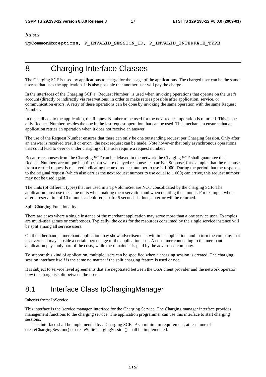#### *Raises*

**TpCommonExceptions, P\_INVALID\_SESSION\_ID, P\_INVALID\_INTERFACE\_TYPE** 

## 8 Charging Interface Classes

The Charging SCF is used by applications to charge for the usage of the applications. The charged user can be the same user as that uses the application. It is also possible that another user will pay the charge.

In the interfaces of the Charging SCF a "Request Number" is used when invoking operations that operate on the user's account (directly or indirectly via reservations) in order to make retries possible after application, service, or communication errors. A retry of these operations can be done by invoking the same operation with the same Request Number.

In the callback to the application, the Request Number to be used for the next request operation is returned. This is the only Request Number besides the one in the last request operation that can be used. This mechanism ensures that an application retries an operation when it does not receive an answer.

The use of the Request Number ensures that there can only be one outstanding request per Charging Session. Only after an answer is received (result or error), the next request can be made. Note however that only asynchronous operations that could lead to over or under charging of the user require a request number.

Because responses from the Charging SCF can be delayed in the network the Charging SCF shall guarantee that Request Numbers are unique in a timespan where delayed responses can arrive. Suppose, for example, that the response from a retried request is received indicating the next request number to use is 1 000. During the period that the response to the original request (which also carries the next request number to use equal to 1 000) can arrive, this request number may not be used again.

The units (of different types) that are used in a TpVolumeSet are NOT consolidated by the charging SCF. The application must use the same units when making the reservation and when debiting the amount. For example, when after a reservation of 10 minutes a debit request for 5 seconds is done, an error will be returned.

Split Charging Functionality.

There are cases where a single instance of the merchant application may serve more than a one service user. Examples are multi-user games or conferences. Typically, the costs for the resources consumed by the single service instance will be split among all service users.

On the other hand, a merchant application may show advertisements within its application, and in turn the company that is advertised may subside a certain percentage of the application cost. A consumer connecting to the merchant application pays only part of the costs, while the remainder is paid by the advertised company.

To support this kind of application, multiple users can be specified when a charging session is created. The charging session interface itself is the same no matter if the split charging feature is used or not.

It is subject to service level agreements that are negotiated between the OSA client provider and the network operator how the charge is split between the users.

## 8.1 Interface Class IpChargingManager

Inherits from: IpService.

This interface is the 'service manager' interface for the Charging Service. The Charging manager interface provides management functions to the charging service. The application programmer can use this interface to start charging sessions.

 This interface shall be implemented by a Charging SCF. As a minimum requirement, at least one of createChargingSession() or createSplitChargingSession() shall be implemented.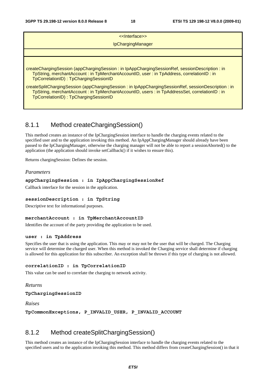| < <lnterface>&gt;</lnterface>                                                                                                                                                                                                               |
|---------------------------------------------------------------------------------------------------------------------------------------------------------------------------------------------------------------------------------------------|
| IpChargingManager                                                                                                                                                                                                                           |
|                                                                                                                                                                                                                                             |
| createChargingSession (appChargingSession: in IpAppChargingSessionRef, sessionDescription: in<br>TpString, merchantAccount: in TpMerchantAccountID, user: in TpAddress, correlationID: in<br>TpCorrelationID): TpChargingSessionID          |
| createSplitChargingSession (appChargingSession: in IpAppChargingSessionRef, sessionDescription: in<br>TpString, merchantAccount: in TpMerchantAccountID, users: in TpAddressSet, correlationID: in<br>TpCorrelationID): TpChargingSessionID |

## 8.1.1 Method createChargingSession()

This method creates an instance of the IpChargingSession interface to handle the charging events related to the specified user and to the application invoking this method. An IpAppChargingManager should already have been passed to the IpChargingManager, otherwise the charging manager will not be able to report a sessionAborted() to the application (the application should invoke setCallback() if it wishes to ensure this).

Returns chargingSession: Defines the session.

#### *Parameters*

#### **appChargingSession : in IpAppChargingSessionRef**

Callback interface for the session in the application.

#### **sessionDescription : in TpString**

Descriptive text for informational purposes.

#### **merchantAccount : in TpMerchantAccountID**

Identifies the account of the party providing the application to be used.

#### **user : in TpAddress**

Specifies the user that is using the application. This may or may not be the user that will be charged. The Charging service will determine the charged user. When this method is invoked the Charging service shall determine if charging is allowed for this application for this subscriber. An exception shall be thrown if this type of charging is not allowed.

#### **correlationID : in TpCorrelationID**

This value can be used to correlate the charging to network activity.

#### *Returns*

#### **TpChargingSessionID**

*Raises* 

**TpCommonExceptions, P\_INVALID\_USER, P\_INVALID\_ACCOUNT** 

### 8.1.2 Method createSplitChargingSession()

This method creates an instance of the IpChargingSession interface to handle the charging events related to the specified users and to the application invoking this method. This method differs from createChargingSession() in that it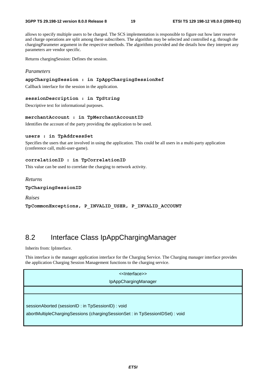allows to specify multiple users to be charged. The SCS implementation is responsible to figure out how later reserve and charge operations are split among these subscribers. The algorithm may be selected and controlled e.g. through the chargingParameter argument in the respective methods. The algorithms provided and the details how they interpret any parameters are vendor specific.

Returns chargingSession: Defines the session.

#### *Parameters*

#### **appChargingSession : in IpAppChargingSessionRef**

Callback interface for the session in the application.

#### **sessionDescription : in TpString**

Descriptive text for informational purposes.

#### **merchantAccount : in TpMerchantAccountID**

Identifies the account of the party providing the application to be used.

#### **users : in TpAddressSet**

Specifies the users that are involved in using the application. This could be all users in a multi-party application (conference call, multi-user-game).

#### **correlationID : in TpCorrelationID**

This value can be used to correlate the charging to network activity.

#### *Returns*

**TpChargingSessionID** 

*Raises* 

**TpCommonExceptions, P\_INVALID\_USER, P\_INVALID\_ACCOUNT** 

## 8.2 Interface Class IpAppChargingManager

Inherits from: IpInterface.

This interface is the manager application interface for the Charging Service. The Charging manager interface provides the application Charging Session Management functions to the charging service.

#### <<Interface>>

#### IpAppChargingManager

sessionAborted (sessionID : in TpSessionID) : void

abortMultipleChargingSessions (chargingSessionSet : in TpSessionIDSet) : void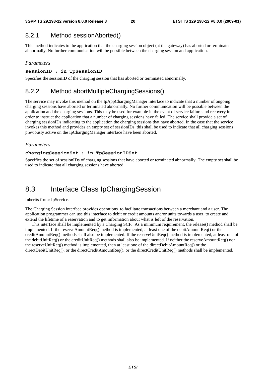## 8.2.1 Method sessionAborted()

This method indicates to the application that the charging session object (at the gateway) has aborted or terminated abnormally. No further communication will be possible between the charging session and application.

#### *Parameters*

#### **sessionID : in TpSessionID**

Specifies the sessionID of the charging session that has aborted or terminated abnormally.

### 8.2.2 Method abortMultipleChargingSessions()

The service may invoke this method on the IpAppChargingManager interface to indicate that a number of ongoing charging sessions have aborted or terminated abnormally. No further communication will be possible between the application and the charging sessions. This may be used for example in the event of service failure and recovery in order to instruct the application that a number of charging sessions have failed. The service shall provide a set of charging sessionIDs indicating to the application the charging sessions that have aborted. In the case that the service invokes this method and provides an empty set of sessionIDs, this shall be used to indicate that all charging sessions previously active on the IpChargingManager interface have been aborted.

#### *Parameters*

#### **chargingSessionSet : in TpSessionIDSet**

Specifies the set of sessionIDs of charging sessions that have aborted or terminated abnormally. The empty set shall be used to indicate that all charging sessions have aborted.

## 8.3 Interface Class IpChargingSession

#### Inherits from: IpService.

The Charging Session interface provides operations to facilitate transactions between a merchant and a user. The application programmer can use this interface to debit or credit amounts and/or units towards a user, to create and extend the lifetime of a reservation and to get information about what is left of the reservation.

 This interface shall be implemented by a Charging SCF. As a minimum requirement, the release() method shall be implemented. If the reserveAmountReq() method is implemented, at least one of the debitAmountReq() or the creditAmountReq() methods shall also be implemented. If the reserveUnitReq() method is implemented, at least one of the debitUnitReq() or the creditUnitReq() methods shall also be implemented. If neither the reserveAmountReq() nor the reserveUnitReq() method is implemented, then at least one of the directDebitAmountReq() or the directDebitUnitReq(), or the directCreditAmountReq(), or the directCreditUnitReq() methods shall be implemented.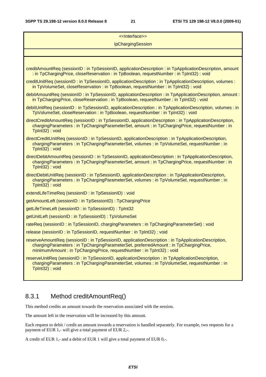| < <lnterface>&gt;</lnterface>                                                                                                                                                                                                                                   |  |  |  |
|-----------------------------------------------------------------------------------------------------------------------------------------------------------------------------------------------------------------------------------------------------------------|--|--|--|
| IpChargingSession                                                                                                                                                                                                                                               |  |  |  |
|                                                                                                                                                                                                                                                                 |  |  |  |
|                                                                                                                                                                                                                                                                 |  |  |  |
| creditAmountReq (sessionID : in TpSessionID, applicationDescription : in TpApplicationDescription, amount<br>: in TpChargingPrice, closeReservation : in TpBoolean, requestNumber : in TpInt32) : void                                                          |  |  |  |
| creditUnitReq (sessionID: in TpSessionID, applicationDescription: in TpApplicationDescription, volumes:<br>in TpVolumeSet, closeReservation : in TpBoolean, requestNumber : in TpInt32) : void                                                                  |  |  |  |
| debitAmountReq (sessionID: in TpSessionID, applicationDescription: in TpApplicationDescription, amount:<br>in TpChargingPrice, closeReservation : in TpBoolean, requestNumber : in TpInt32) : void                                                              |  |  |  |
| debitUnitReq (sessionID: in TpSessionID, applicationDescription: in TpApplicationDescription, volumes: in<br>TpVolumeSet, closeReservation : in TpBoolean, requestNumber : in TpInt32) : void                                                                   |  |  |  |
| directCreditAmountReq (sessionID: in TpSessionID, applicationDescription: in TpApplicationDescription,<br>chargingParameters: in TpChargingParameterSet, amount: in TpChargingPrice, requestNumber: in<br>TpInt32) : void                                       |  |  |  |
| directCreditUnitReq (sessionID: in TpSessionID, applicationDescription: in TpApplicationDescription,<br>chargingParameters: in TpChargingParameterSet, volumes: in TpVolumeSet, requestNumber: in<br>TpInt32): void                                             |  |  |  |
| directDebitAmountReq (sessionID: in TpSessionID, applicationDescription: in TpApplicationDescription,<br>chargingParameters: in TpChargingParameterSet, amount: in TpChargingPrice, requestNumber: in<br>TpInt32): void                                         |  |  |  |
| directDebitUnitReq (sessionID: in TpSessionID, applicationDescription: in TpApplicationDescription,<br>chargingParameters: in TpChargingParameterSet, volumes: in TpVolumeSet, requestNumber: in<br>TpInt32): void                                              |  |  |  |
| extendLifeTimeReq (sessionID: in TpSessionID): void                                                                                                                                                                                                             |  |  |  |
| getAmountLeft (sessionID: in TpSessionID): TpChargingPrice                                                                                                                                                                                                      |  |  |  |
| getLifeTimeLeft (sessionID: in TpSessionID): TpInt32                                                                                                                                                                                                            |  |  |  |
| getUnitLeft (sessionID: in TpSessionID): TpVolumeSet                                                                                                                                                                                                            |  |  |  |
| rateReq (sessionID: in TpSessionID, chargingParameters: in TpChargingParameterSet): void                                                                                                                                                                        |  |  |  |
| release (sessionID: in TpSessionID, requestNumber: in TpInt32): void                                                                                                                                                                                            |  |  |  |
| reserveAmountReq (sessionID: in TpSessionID, applicationDescription: in TpApplicationDescription,<br>chargingParameters: in TpChargingParameterSet, preferredAmount: in TpChargingPrice,<br>minimumAmount: in TpChargingPrice, requestNumber: in TpInt32): void |  |  |  |
| reserveUnitReq (sessionID: in TpSessionID, applicationDescription: in TpApplicationDescription,<br>chargingParameters: in TpChargingParameterSet, volumes: in TpVolumeSet, requestNumber: in<br>TpInt32): void                                                  |  |  |  |

## 8.3.1 Method creditAmountReq()

This method credits an amount towards the reservation associated with the session.

The amount left in the reservation will be increased by this amount.

Each request to debit / credit an amount towards a reservation is handled separately. For example, two requests for a payment of EUR 1,- will give a total payment of EUR 2,-.

A credit of EUR 1,- and a debit of EUR 1 will give a total payment of EUR 0,-.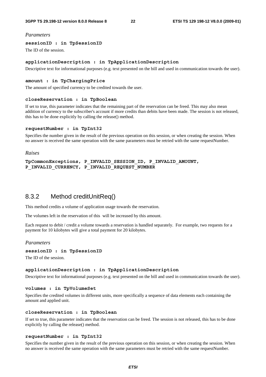#### *Parameters*

#### **sessionID : in TpSessionID**

The ID of the session.

#### **applicationDescription : in TpApplicationDescription**

Descriptive text for informational purposes (e.g. text presented on the bill and used in communication towards the user).

#### **amount : in TpChargingPrice**

The amount of specified currency to be credited towards the user.

#### **closeReservation : in TpBoolean**

If set to true, this parameter indicates that the remaining part of the reservation can be freed. This may also mean addition of currency to the subscriber's account if more credits than debits have been made. The session is not released, this has to be done explicitly by calling the release() method.

#### **requestNumber : in TpInt32**

Specifies the number given in the result of the previous operation on this session, or when creating the session. When no answer is received the same operation with the same parameters must be retried with the same requestNumber.

#### *Raises*

```
TpCommonExceptions, P_INVALID_SESSION_ID, P_INVALID_AMOUNT, 
P_INVALID_CURRENCY, P_INVALID_REQUEST_NUMBER
```
### 8.3.2 Method creditUnitReq()

This method credits a volume of application usage towards the reservation.

The volumes left in the reservation of this will be increased by this amount.

Each request to debit / credit a volume towards a reservation is handled separately. For example, two requests for a payment for 10 kilobytes will give a total payment for 20 kilobytes.

#### *Parameters*

#### **sessionID : in TpSessionID**

The ID of the session.

#### **applicationDescription : in TpApplicationDescription**

Descriptive text for informational purposes (e.g. text presented on the bill and used in communication towards the user).

#### **volumes : in TpVolumeSet**

Specifies the credited volumes in different units, more specifically a sequence of data elements each containing the amount and applied unit.

#### **closeReservation : in TpBoolean**

If set to true, this parameter indicates that the reservation can be freed. The session is not released, this has to be done explicitly by calling the release() method.

#### **requestNumber : in TpInt32**

Specifies the number given in the result of the previous operation on this session, or when creating the session. When no answer is received the same operation with the same parameters must be retried with the same requestNumber.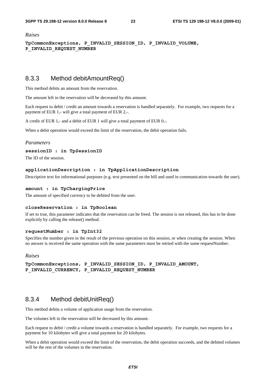*Raises* 

**TpCommonExceptions, P\_INVALID\_SESSION\_ID, P\_INVALID\_VOLUME, P\_INVALID\_REQUEST\_NUMBER** 

### 8.3.3 Method debitAmountReq()

This method debits an amount from the reservation.

The amount left in the reservation will be decreased by this amount.

Each request to debit / credit an amount towards a reservation is handled separately. For example, two requests for a payment of EUR 1,- will give a total payment of EUR 2,-.

A credit of EUR 1,- and a debit of EUR 1 will give a total payment of EUR 0,-.

When a debit operation would exceed the limit of the reservation, the debit operation fails.

#### *Parameters*

#### **sessionID : in TpSessionID**

The ID of the session.

#### **applicationDescription : in TpApplicationDescription**

Descriptive text for informational purposes (e.g. text presented on the bill and used in communication towards the user).

#### **amount : in TpChargingPrice**

The amount of specified currency to be debited from the user.

#### **closeReservation : in TpBoolean**

If set to true, this parameter indicates that the reservation can be freed. The session is not released, this has to be done explicitly by calling the release() method.

#### **requestNumber : in TpInt32**

Specifies the number given in the result of the previous operation on this session, or when creating the session. When no answer is received the same operation with the same parameters must be retried with the same requestNumber.

#### *Raises*

**TpCommonExceptions, P\_INVALID\_SESSION\_ID, P\_INVALID\_AMOUNT, P\_INVALID\_CURRENCY, P\_INVALID\_REQUEST\_NUMBER** 

### 8.3.4 Method debitUnitReq()

This method debits a volume of application usage from the reservation.

The volumes left in the reservation will be decreased by this amount.

Each request to debit / credit a volume towards a reservation is handled separately. For example, two requests for a payment for 10 kilobytes will give a total payment for 20 kilobytes.

When a debit operation would exceed the limit of the reservation, the debit operation succeeds, and the debited volumes will be the rest of the volumes in the reservation.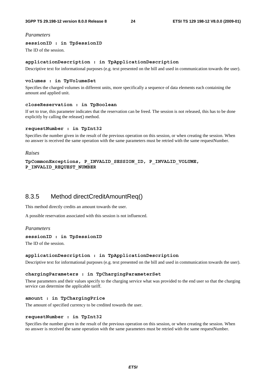#### *Parameters*

#### **sessionID : in TpSessionID**

The ID of the session.

#### **applicationDescription : in TpApplicationDescription**

Descriptive text for informational purposes (e.g. text presented on the bill and used in communication towards the user).

#### **volumes : in TpVolumeSet**

Specifies the charged volumes in different units, more specifically a sequence of data elements each containing the amount and applied unit.

#### **closeReservation : in TpBoolean**

If set to true, this parameter indicates that the reservation can be freed. The session is not released, this has to be done explicitly by calling the release() method.

#### **requestNumber : in TpInt32**

Specifies the number given in the result of the previous operation on this session, or when creating the session. When no answer is received the same operation with the same parameters must be retried with the same requestNumber.

#### *Raises*

```
TpCommonExceptions, P_INVALID_SESSION_ID, P_INVALID_VOLUME, 
P_INVALID_REQUEST_NUMBER
```
### 8.3.5 Method directCreditAmountReq()

This method directly credits an amount towards the user.

A possible reservation associated with this session is not influenced.

#### *Parameters*

#### **sessionID : in TpSessionID**

The ID of the session.

#### **applicationDescription : in TpApplicationDescription**

Descriptive text for informational purposes (e.g. text presented on the bill and used in communication towards the user).

#### **chargingParameters : in TpChargingParameterSet**

These parameters and their values specify to the charging service what was provided to the end user so that the charging service can determine the applicable tariff.

#### **amount : in TpChargingPrice**

The amount of specified currency to be credited towards the user.

#### **requestNumber : in TpInt32**

Specifies the number given in the result of the previous operation on this session, or when creating the session. When no answer is received the same operation with the same parameters must be retried with the same requestNumber.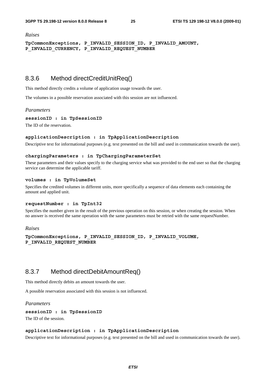#### *Raises*

**TpCommonExceptions, P\_INVALID\_SESSION\_ID, P\_INVALID\_AMOUNT, P\_INVALID\_CURRENCY, P\_INVALID\_REQUEST\_NUMBER** 

### 8.3.6 Method directCreditUnitReq()

This method directly credits a volume of application usage towards the user.

The volumes in a possible reservation associated with this session are not influenced.

#### *Parameters*

**sessionID : in TpSessionID** 

The ID of the reservation.

#### **applicationDescription : in TpApplicationDescription**

Descriptive text for informational purposes (e.g. text presented on the bill and used in communication towards the user).

#### **chargingParameters : in TpChargingParameterSet**

These parameters and their values specify to the charging service what was provided to the end user so that the charging service can determine the applicable tariff.

#### **volumes : in TpVolumeSet**

Specifies the credited volumes in different units, more specifically a sequence of data elements each containing the amount and applied unit.

#### **requestNumber : in TpInt32**

Specifies the number given in the result of the previous operation on this session, or when creating the session. When no answer is received the same operation with the same parameters must be retried with the same requestNumber.

#### *Raises*

```
TpCommonExceptions, P_INVALID_SESSION_ID, P_INVALID_VOLUME, 
P_INVALID_REQUEST_NUMBER
```
### 8.3.7 Method directDebitAmountReq()

This method directly debits an amount towards the user.

A possible reservation associated with this session is not influenced.

#### *Parameters*

#### **sessionID : in TpSessionID**

The ID of the session.

#### **applicationDescription : in TpApplicationDescription**

Descriptive text for informational purposes (e.g. text presented on the bill and used in communication towards the user).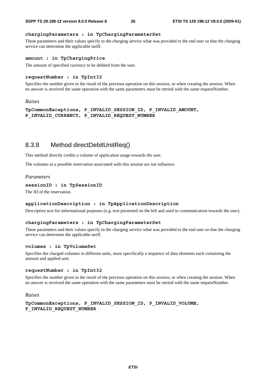#### **chargingParameters : in TpChargingParameterSet**

These parameters and their values specify to the charging service what was provided to the end user so that the charging service can determine the applicable tariff.

#### **amount : in TpChargingPrice**

The amount of specified currency to be debited from the user.

#### **requestNumber : in TpInt32**

Specifies the number given in the result of the previous operation on this session, or when creating the session. When no answer is received the same operation with the same parameters must be retried with the same requestNumber.

#### *Raises*

```
TpCommonExceptions, P_INVALID_SESSION_ID, P_INVALID_AMOUNT, 
P_INVALID_CURRENCY, P_INVALID_REQUEST_NUMBER
```
### 8.3.8 Method directDebitUnitReq()

This method directly credits a volume of application usage towards the user.

The volumes in a possible reservation associated with this session are not influence.

#### *Parameters*

```
sessionID : in TpSessionID
```
The ID of the reservation.

#### **applicationDescription : in TpApplicationDescription**

Descriptive text for informational purposes (e.g. text presented on the bill and used in communication towards the user).

#### **chargingParameters : in TpChargingParameterSet**

These parameters and their values specify to the charging service what was provided to the end user so that the charging service can determine the applicable tariff.

#### **volumes : in TpVolumeSet**

Specifies the charged volumes in different units, more specifically a sequence of data elements each containing the amount and applied unit.

#### **requestNumber : in TpInt32**

Specifies the number given in the result of the previous operation on this session, or when creating the session. When no answer is received the same operation with the same parameters must be retried with the same requestNumber.

#### *Raises*

**TpCommonExceptions, P\_INVALID\_SESSION\_ID, P\_INVALID\_VOLUME, P\_INVALID\_REQUEST\_NUMBER**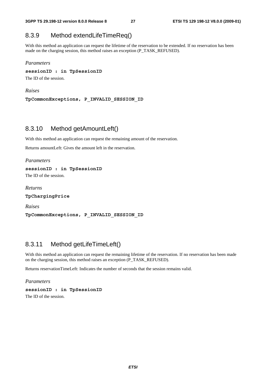### 8.3.9 Method extendLifeTimeReq()

With this method an application can request the lifetime of the reservation to be extended. If no reservation has been made on the charging session, this method raises an exception (P\_TASK\_REFUSED).

#### *Parameters*

#### **sessionID : in TpSessionID**

The ID of the session.

#### *Raises*

**TpCommonExceptions, P\_INVALID\_SESSION\_ID** 

### 8.3.10 Method getAmountLeft()

With this method an application can request the remaining amount of the reservation.

Returns amountLeft: Gives the amount left in the reservation.

*Parameters* 

**sessionID : in TpSessionID**  The ID of the session.

*Returns*  **TpChargingPrice** 

*Raises*  **TpCommonExceptions, P\_INVALID\_SESSION\_ID** 

## 8.3.11 Method getLifeTimeLeft()

With this method an application can request the remaining lifetime of the reservation. If no reservation has been made on the charging session, this method raises an exception (P\_TASK\_REFUSED).

Returns reservationTimeLeft: Indicates the number of seconds that the session remains valid.

#### *Parameters*

```
sessionID : in TpSessionID
```
The ID of the session.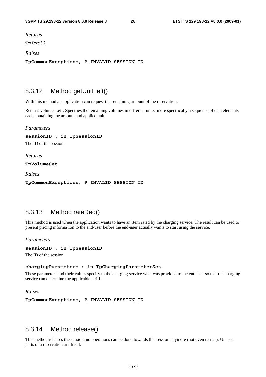*Returns* 

**TpInt32** 

*Raises* 

**TpCommonExceptions, P\_INVALID\_SESSION\_ID** 

### 8.3.12 Method getUnitLeft()

With this method an application can request the remaining amount of the reservation.

Returns volumesLeft: Specifies the remaining volumes in different units, more specifically a sequence of data elements each containing the amount and applied unit.

*Parameters* 

**sessionID : in TpSessionID** 

The ID of the session.

*Returns* 

**TpVolumeSet** 

*Raises* 

**TpCommonExceptions, P\_INVALID\_SESSION\_ID** 

### 8.3.13 Method rateReq()

This method is used when the application wants to have an item rated by the charging service. The result can be used to present pricing information to the end-user before the end-user actually wants to start using the service.

*Parameters* 

```
sessionID : in TpSessionID
```
The ID of the session.

#### **chargingParameters : in TpChargingParameterSet**

These parameters and their values specify to the charging service what was provided to the end user so that the charging service can determine the applicable tariff.

*Raises* 

**TpCommonExceptions, P\_INVALID\_SESSION\_ID** 

### 8.3.14 Method release()

This method releases the session, no operations can be done towards this session anymore (not even retries). Unused parts of a reservation are freed.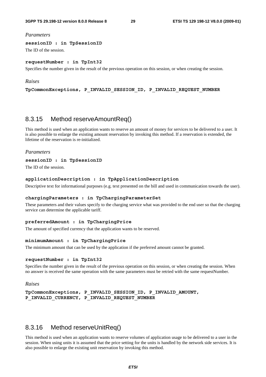#### *Parameters*

**sessionID : in TpSessionID** 

The ID of the session.

#### **requestNumber : in TpInt32**

Specifies the number given in the result of the previous operation on this session, or when creating the session.

#### *Raises*

**TpCommonExceptions, P\_INVALID\_SESSION\_ID, P\_INVALID\_REQUEST\_NUMBER** 

### 8.3.15 Method reserveAmountReq()

This method is used when an application wants to reserve an amount of money for services to be delivered to a user. It is also possible to enlarge the existing amount reservation by invoking this method. If a reservation is extended, the lifetime of the reservation is re-initialized.

#### *Parameters*

#### **sessionID : in TpSessionID**

The ID of the session.

#### **applicationDescription : in TpApplicationDescription**

Descriptive text for informational purposes (e.g. text presented on the bill and used in communication towards the user).

#### **chargingParameters : in TpChargingParameterSet**

These parameters and their values specify to the charging service what was provided to the end user so that the charging service can determine the applicable tariff.

#### **preferredAmount : in TpChargingPrice**

The amount of specified currency that the application wants to be reserved.

#### **minimumAmount : in TpChargingPrice**

The minimum amount that can be used by the application if the preferred amount cannot be granted.

#### **requestNumber : in TpInt32**

Specifies the number given in the result of the previous operation on this session, or when creating the session. When no answer is received the same operation with the same parameters must be retried with the same requestNumber.

*Raises* 

```
TpCommonExceptions, P_INVALID_SESSION_ID, P_INVALID_AMOUNT, 
P_INVALID_CURRENCY, P_INVALID_REQUEST_NUMBER
```
### 8.3.16 Method reserveUnitReq()

This method is used when an application wants to reserve volumes of application usage to be delivered to a user in the session. When using units it is assumed that the price setting for the units is handled by the network side services. It is also possible to enlarge the existing unit reservation by invoking this method.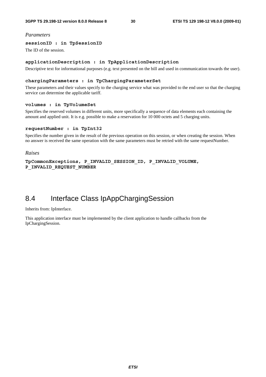#### *Parameters*

#### **sessionID : in TpSessionID**

The ID of the session.

#### **applicationDescription : in TpApplicationDescription**

Descriptive text for informational purposes (e.g. text presented on the bill and used in communication towards the user).

#### **chargingParameters : in TpChargingParameterSet**

These parameters and their values specify to the charging service what was provided to the end user so that the charging service can determine the applicable tariff.

#### **volumes : in TpVolumeSet**

Specifies the reserved volumes in different units, more specifically a sequence of data elements each containing the amount and applied unit. It is e.g. possible to make a reservation for 10 000 octets and 5 charging units.

#### **requestNumber : in TpInt32**

Specifies the number given in the result of the previous operation on this session, or when creating the session. When no answer is received the same operation with the same parameters must be retried with the same requestNumber.

#### *Raises*

**TpCommonExceptions, P\_INVALID\_SESSION\_ID, P\_INVALID\_VOLUME, P\_INVALID\_REQUEST\_NUMBER** 

## 8.4 Interface Class IpAppChargingSession

#### Inherits from: IpInterface.

This application interface must be implemented by the client application to handle callbacks from the IpChargingSession.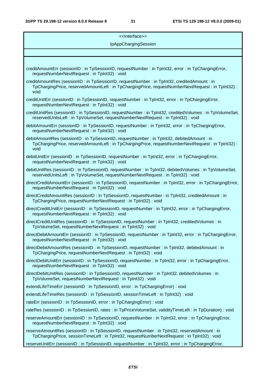| < <lnterface>&gt;</lnterface>                                                                                                                                                                           |  |  |  |  |
|---------------------------------------------------------------------------------------------------------------------------------------------------------------------------------------------------------|--|--|--|--|
| IpAppChargingSession                                                                                                                                                                                    |  |  |  |  |
|                                                                                                                                                                                                         |  |  |  |  |
|                                                                                                                                                                                                         |  |  |  |  |
| creditAmountErr (sessionID: in TpSessionID, requestNumber: in TpInt32, error: in TpChargingError,<br>requestNumberNextRequest: in TpInt32): void                                                        |  |  |  |  |
| creditAmountRes (sessionID: in TpSessionID, requestNumber: in TpInt32, creditedAmount: in<br>TpChargingPrice, reservedAmountLeft : in TpChargingPrice, requestNumberNextRequest : in TpInt32) :<br>void |  |  |  |  |
| creditUnitErr (sessionID: in TpSessionID, requestNumber: in TpInt32, error: in TpChargingError,<br>requestNumberNextRequest: in TpInt32): void                                                          |  |  |  |  |
| creditUnitRes (sessionID: in TpSessionID, requestNumber: in TpInt32, creditedVolumes: in TpVolumeSet,<br>reservedUnitsLeft: in TpVolumeSet, requestNumberNextRequest: in TpInt32): void                 |  |  |  |  |
| debitAmountErr (sessionID: in TpSessionID, requestNumber: in TpInt32, error: in TpChargingError,<br>requestNumberNextRequest : in TpInt32) : void                                                       |  |  |  |  |
| debitAmountRes (sessionID: in TpSessionID, requestNumber: in TpInt32, debitedAmount: in<br>TpChargingPrice, reservedAmountLeft : in TpChargingPrice, requestNumberNextRequest : in TpInt32) :<br>void   |  |  |  |  |
| debitUnitErr (sessionID : in TpSessionID, requestNumber : in TpInt32, error : in TpChargingError,<br>requestNumberNextRequest : in TpInt32) : void                                                      |  |  |  |  |
| debitUnitRes (sessionID: in TpSessionID, requestNumber: in TpInt32, debitedVolumes: in TpVolumeSet,<br>reservedUnitsLeft : in TpVolumeSet, requestNumberNextRequest : in TpInt32) : void                |  |  |  |  |
| directCreditAmountErr (sessionID: in TpSessionID, requestNumber: in TpInt32, error: in TpChargingError,<br>requestNumberNextRequest: in TpInt32): void                                                  |  |  |  |  |
| directCreditAmountRes (sessionID: in TpSessionID, requestNumber: in TpInt32, creditedAmount: in<br>TpChargingPrice, requestNumberNextRequest: in TpInt32): void                                         |  |  |  |  |
| directCreditUnitErr (sessionID: in TpSessionID, requestNumber: in TpInt32, error: in TpChargingError,<br>requestNumberNextRequest: in TpInt32): void                                                    |  |  |  |  |
| directCreditUnitRes (sessionID : in TpSessionID, requestNumber : in TpInt32, creditedVolumes : in<br>TpVolumeSet, requestNumberNextRequest: in TpInt32): void                                           |  |  |  |  |
| directDebitAmountErr (sessionID : in TpSessionID, requestNumber : in TpInt32, error : in TpChargingError,<br>requestNumberNextRequest: in TpInt32): void                                                |  |  |  |  |
| directDebitAmountRes (sessionID: in TpSessionID, requestNumber: in TpInt32, debitedAmount: in<br>TpChargingPrice, requestNumberNextRequest: in TpInt32): void                                           |  |  |  |  |
| directDebitUnitErr (sessionID: in TpSessionID, requestNumber: in TpInt32, error: in TpChargingError,<br>requestNumberNextRequest: in TpInt32): void                                                     |  |  |  |  |
| directDebitUnitRes (sessionID: in TpSessionID, requestNumber: in TpInt32, debitedVolumes: in<br>TpVolumeSet, requestNumberNextRequest: in TpInt32): void                                                |  |  |  |  |
| extendLifeTimeErr (sessionID: in TpSessionID, error: in TpChargingError): void                                                                                                                          |  |  |  |  |
| extendLifeTimeRes (sessionID: in TpSessionID, sessionTimeLeft: in TpInt32): void                                                                                                                        |  |  |  |  |
| rateErr (sessionID: in TpSessionID, error: in TpChargingError): void                                                                                                                                    |  |  |  |  |
| rateRes (sessionID : in TpSessionID, rates : in TpPriceVolumeSet, validityTimeLeft : in TpDuration) : void                                                                                              |  |  |  |  |
| reserveAmountErr (sessionID: in TpSessionID, requestNumber: in TpInt32, error: in TpChargingError,<br>requestNumberNextRequest: in TpInt32): void                                                       |  |  |  |  |
| reserveAmountRes (sessionID: in TpSessionID, requestNumber: in TpInt32, reservedAmount: in<br>TpChargingPrice, sessionTimeLeft : in TpInt32, requestNumberNextRequest : in TpInt32) : void              |  |  |  |  |
| reserveUnitErr (sessionID : in TpSessionID, requestNumber : in TpInt32, error : in TpChargingError,                                                                                                     |  |  |  |  |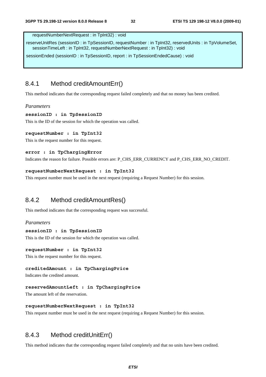requestNumberNextRequest : in TpInt32) : void

reserveUnitRes (sessionID : in TpSessionID, requestNumber : in TpInt32, reservedUnits : in TpVolumeSet, sessionTimeLeft : in TpInt32, requestNumberNextRequest : in TpInt32) : void

sessionEnded (sessionID : in TpSessionID, report : in TpSessionEndedCause) : void

### 8.4.1 Method creditAmountErr()

This method indicates that the corresponding request failed completely and that no money has been credited.

#### *Parameters*

#### **sessionID : in TpSessionID**

This is the ID of the session for which the operation was called.

#### **requestNumber : in TpInt32**

This is the request number for this request.

#### **error : in TpChargingError**

Indicates the reason for failure. Possible errors are: P\_CHS\_ERR\_CURRENCY and P\_CHS\_ERR\_NO\_CREDIT.

#### **requestNumberNextRequest : in TpInt32**

This request number must be used in the next request (requiring a Request Number) for this session.

### 8.4.2 Method creditAmountRes()

This method indicates that the corresponding request was successful.

#### *Parameters*

#### **sessionID : in TpSessionID**

This is the ID of the session for which the operation was called.

#### **requestNumber : in TpInt32**

This is the request number for this request.

#### **creditedAmount : in TpChargingPrice**

Indicates the credited amount.

#### **reservedAmountLeft : in TpChargingPrice**

The amount left of the reservation.

#### **requestNumberNextRequest : in TpInt32**

This request number must be used in the next request (requiring a Request Number) for this session.

### 8.4.3 Method creditUnitErr()

This method indicates that the corresponding request failed completely and that no units have been credited.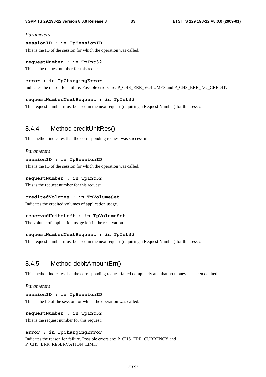#### *Parameters*

#### **sessionID : in TpSessionID**

This is the ID of the session for which the operation was called.

#### **requestNumber : in TpInt32**

This is the request number for this request.

#### **error : in TpChargingError**

Indicates the reason for failure. Possible errors are: P\_CHS\_ERR\_VOLUMES and P\_CHS\_ERR\_NO\_CREDIT.

#### **requestNumberNextRequest : in TpInt32**

This request number must be used in the next request (requiring a Request Number) for this session.

### 8.4.4 Method creditUnitRes()

This method indicates that the corresponding request was successful.

#### *Parameters*

#### **sessionID : in TpSessionID**

This is the ID of the session for which the operation was called.

#### **requestNumber : in TpInt32**

This is the request number for this request.

#### **creditedVolumes : in TpVolumeSet**

Indicates the credited volumes of application usage.

#### **reservedUnitsLeft : in TpVolumeSet**

The volume of application usage left in the reservation.

#### **requestNumberNextRequest : in TpInt32**

This request number must be used in the next request (requiring a Request Number) for this session.

### 8.4.5 Method debitAmountErr()

This method indicates that the corresponding request failed completely and that no money has been debited.

#### *Parameters*

#### **sessionID : in TpSessionID**

This is the ID of the session for which the operation was called.

#### **requestNumber : in TpInt32**

This is the request number for this request.

#### **error : in TpChargingError**

Indicates the reason for failure. Possible errors are: P\_CHS\_ERR\_CURRENCY and P\_CHS\_ERR\_RESERVATION\_LIMIT.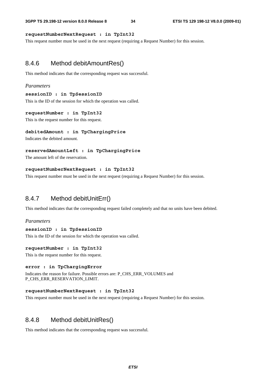#### **requestNumberNextRequest : in TpInt32**

This request number must be used in the next request (requiring a Request Number) for this session.

### 8.4.6 Method debitAmountRes()

This method indicates that the corresponding request was successful.

#### *Parameters*

#### **sessionID : in TpSessionID**

This is the ID of the session for which the operation was called.

#### **requestNumber : in TpInt32**

This is the request number for this request.

#### **debitedAmount : in TpChargingPrice**

Indicates the debited amount.

#### **reservedAmountLeft : in TpChargingPrice**

The amount left of the reservation.

#### **requestNumberNextRequest : in TpInt32**

This request number must be used in the next request (requiring a Request Number) for this session.

### 8.4.7 Method debitUnitErr()

This method indicates that the corresponding request failed completely and that no units have been debited.

#### *Parameters*

#### **sessionID : in TpSessionID**

This is the ID of the session for which the operation was called.

#### **requestNumber : in TpInt32**

This is the request number for this request.

#### **error : in TpChargingError**

Indicates the reason for failure. Possible errors are: P\_CHS\_ERR\_VOLUMES and P\_CHS\_ERR\_RESERVATION\_LIMIT.

#### **requestNumberNextRequest : in TpInt32**

This request number must be used in the next request (requiring a Request Number) for this session.

### 8.4.8 Method debitUnitRes()

This method indicates that the corresponding request was successful.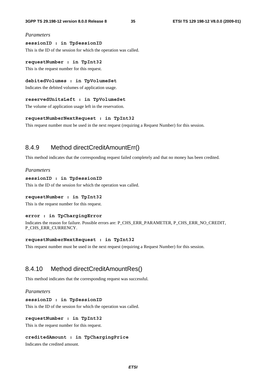#### *Parameters*

#### **sessionID : in TpSessionID**

This is the ID of the session for which the operation was called.

#### **requestNumber : in TpInt32**

This is the request number for this request.

#### **debitedVolumes : in TpVolumeSet**

Indicates the debited volumes of application usage.

#### **reservedUnitsLeft : in TpVolumeSet**

The volume of application usage left in the reservation.

#### **requestNumberNextRequest : in TpInt32**

This request number must be used in the next request (requiring a Request Number) for this session.

### 8.4.9 Method directCreditAmountErr()

This method indicates that the corresponding request failed completely and that no money has been credited.

#### *Parameters*

#### **sessionID : in TpSessionID**

This is the ID of the session for which the operation was called.

#### **requestNumber : in TpInt32**

This is the request number for this request.

#### **error : in TpChargingError**

Indicates the reason for failure. Possible errors are: P\_CHS\_ERR\_PARAMETER, P\_CHS\_ERR\_NO\_CREDIT, P\_CHS\_ERR\_CURRENCY.

#### **requestNumberNextRequest : in TpInt32**

This request number must be used in the next request (requiring a Request Number) for this session.

### 8.4.10 Method directCreditAmountRes()

This method indicates that the corresponding request was successful.

#### *Parameters*

#### **sessionID : in TpSessionID**

This is the ID of the session for which the operation was called.

#### **requestNumber : in TpInt32**

This is the request number for this request.

#### **creditedAmount : in TpChargingPrice**

Indicates the credited amount.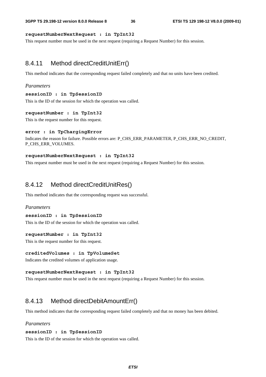#### **requestNumberNextRequest : in TpInt32**

This request number must be used in the next request (requiring a Request Number) for this session.

### 8.4.11 Method directCreditUnitErr()

This method indicates that the corresponding request failed completely and that no units have been credited.

#### *Parameters*

#### **sessionID : in TpSessionID**

This is the ID of the session for which the operation was called.

#### **requestNumber : in TpInt32**

This is the request number for this request.

#### **error : in TpChargingError**

Indicates the reason for failure. Possible errors are: P\_CHS\_ERR\_PARAMETER, P\_CHS\_ERR\_NO\_CREDIT, P\_CHS\_ERR\_VOLUMES.

#### **requestNumberNextRequest : in TpInt32**

This request number must be used in the next request (requiring a Request Number) for this session.

### 8.4.12 Method directCreditUnitRes()

This method indicates that the corresponding request was successful.

#### *Parameters*

#### **sessionID : in TpSessionID**

This is the ID of the session for which the operation was called.

#### **requestNumber : in TpInt32**

This is the request number for this request.

#### **creditedVolumes : in TpVolumeSet**

Indicates the credited volumes of application usage.

#### **requestNumberNextRequest : in TpInt32**

This request number must be used in the next request (requiring a Request Number) for this session.

### 8.4.13 Method directDebitAmountErr()

This method indicates that the corresponding request failed completely and that no money has been debited.

#### *Parameters*

#### **sessionID : in TpSessionID**

This is the ID of the session for which the operation was called.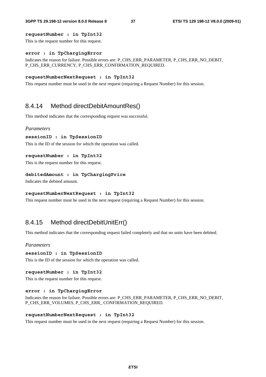#### **requestNumber : in TpInt32**

This is the request number for this request.

#### **error : in TpChargingError**

Indicates the reason for failure. Possible errors are: P\_CHS\_ERR\_PARAMETER, P\_CHS\_ERR\_NO\_DEBIT, P\_CHS\_ERR\_CURRENCY, P\_CHS\_ERR\_CONFIRMATION\_REQUIRED.

#### **requestNumberNextRequest : in TpInt32**

This request number must be used in the next request (requiring a Request Number) for this session.

## 8.4.14 Method directDebitAmountRes()

This method indicates that the corresponding request was successful.

#### *Parameters*

```
sessionID : in TpSessionID
```
This is the ID of the session for which the operation was called.

#### **requestNumber : in TpInt32**

This is the request number for this request.

#### **debitedAmount : in TpChargingPrice**

Indicates the debited amount.

#### **requestNumberNextRequest : in TpInt32**

This request number must be used in the next request (requiring a Request Number) for this session.

### 8.4.15 Method directDebitUnitErr()

This method indicates that the corresponding request failed completely and that no units have been debited.

#### *Parameters*

#### **sessionID : in TpSessionID**

This is the ID of the session for which the operation was called.

#### **requestNumber : in TpInt32**

This is the request number for this request.

#### **error : in TpChargingError**

Indicates the reason for failure. Possible errors are: P\_CHS\_ERR\_PARAMETER, P\_CHS\_ERR\_NO\_DEBIT, P\_CHS\_ERR\_VOLUMES, P\_CHS\_ERR\_ CONFIRMATION\_REQUIRED.

#### **requestNumberNextRequest : in TpInt32**

This request number must be used in the next request (requiring a Request Number) for this session.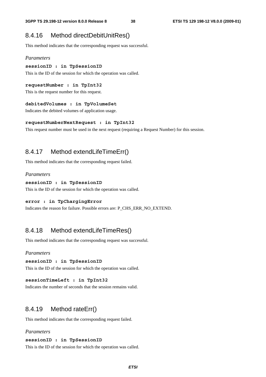## 8.4.16 Method directDebitUnitRes()

This method indicates that the corresponding request was successful.

#### *Parameters*

**sessionID : in TpSessionID** 

This is the ID of the session for which the operation was called.

#### **requestNumber : in TpInt32**

This is the request number for this request.

#### **debitedVolumes : in TpVolumeSet**

Indicates the debited volumes of application usage.

#### **requestNumberNextRequest : in TpInt32**

This request number must be used in the next request (requiring a Request Number) for this session.

## 8.4.17 Method extendLifeTimeErr()

This method indicates that the corresponding request failed.

#### *Parameters*

#### **sessionID : in TpSessionID**

This is the ID of the session for which the operation was called.

### **error : in TpChargingError**

Indicates the reason for failure. Possible errors are: P\_CHS\_ERR\_NO\_EXTEND.

### 8.4.18 Method extendLifeTimeRes()

This method indicates that the corresponding request was successful.

#### *Parameters*

```
sessionID : in TpSessionID
```
This is the ID of the session for which the operation was called.

#### **sessionTimeLeft : in TpInt32**

Indicates the number of seconds that the session remains valid.

### 8.4.19 Method rateErr()

This method indicates that the corresponding request failed.

#### *Parameters*

#### **sessionID : in TpSessionID**

This is the ID of the session for which the operation was called.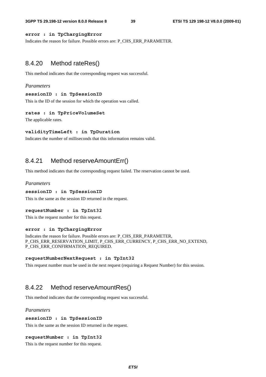#### **error : in TpChargingError**

Indicates the reason for failure. Possible errors are: P\_CHS\_ERR\_PARAMETER.

### 8.4.20 Method rateRes()

This method indicates that the corresponding request was successful.

#### *Parameters*

#### **sessionID : in TpSessionID**

This is the ID of the session for which the operation was called.

#### **rates : in TpPriceVolumeSet**

The applicable rates.

#### **validityTimeLeft : in TpDuration**

Indicates the number of milliseconds that this information remains valid.

### 8.4.21 Method reserveAmountErr()

This method indicates that the corresponding request failed. The reservation cannot be used.

#### *Parameters*

#### **sessionID : in TpSessionID**

This is the same as the session ID returned in the request.

#### **requestNumber : in TpInt32**

This is the request number for this request.

#### **error : in TpChargingError**

Indicates the reason for failure. Possible errors are: P\_CHS\_ERR\_PARAMETER, P\_CHS\_ERR\_RESERVATION\_LIMIT, P\_CHS\_ERR\_CURRENCY, P\_CHS\_ERR\_NO\_EXTEND, P\_CHS\_ERR\_CONFIRMATION\_REQUIRED.

#### **requestNumberNextRequest : in TpInt32**

This request number must be used in the next request (requiring a Request Number) for this session.

### 8.4.22 Method reserveAmountRes()

This method indicates that the corresponding request was successful.

#### *Parameters*

#### **sessionID : in TpSessionID**

This is the same as the session ID returned in the request.

#### **requestNumber : in TpInt32**

This is the request number for this request.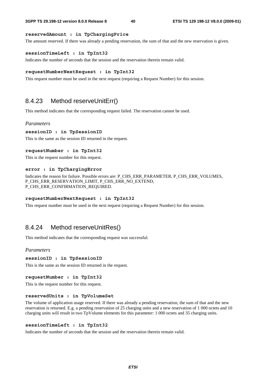#### **reservedAmount : in TpChargingPrice**

The amount reserved. If there was already a pending reservation, the sum of that and the new reservation is given.

#### **sessionTimeLeft : in TpInt32**

Indicates the number of seconds that the session and the reservation therein remain valid.

#### **requestNumberNextRequest : in TpInt32**

This request number must be used in the next request (requiring a Request Number) for this session.

### 8.4.23 Method reserveUnitErr()

This method indicates that the corresponding request failed. The reservation cannot be used.

#### *Parameters*

#### **sessionID : in TpSessionID**

This is the same as the session ID returned in the request.

#### **requestNumber : in TpInt32**

This is the request number for this request.

#### **error : in TpChargingError**

Indicates the reason for failure. Possible errors are: P\_CHS\_ERR\_PARAMETER, P\_CHS\_ERR\_VOLUMES, P\_CHS\_ERR\_RESERVATION\_LIMIT, P\_CHS\_ERR\_NO\_EXTEND, P\_CHS\_ERR\_CONFIRMATION\_REQUIRED.

#### **requestNumberNextRequest : in TpInt32**

This request number must be used in the next request (requiring a Request Number) for this session.

### 8.4.24 Method reserveUnitRes()

This method indicates that the corresponding request was successful.

#### *Parameters*

**sessionID : in TpSessionID** 

This is the same as the session ID returned in the request.

**requestNumber : in TpInt32** 

This is the request number for this request.

#### **reservedUnits : in TpVolumeSet**

The volume of application usage reserved. If there was already a pending reservation, the sum of that and the new reservation is returned. E.g. a pending reservation of 25 charging units and a new reservation of 1 000 octets and 10 charging units will result in two TpVolume elements for this parameter: 1 000 octets and 35 charging units.

#### **sessionTimeLeft : in TpInt32**

Indicates the number of seconds that the session and the reservation therein remain valid.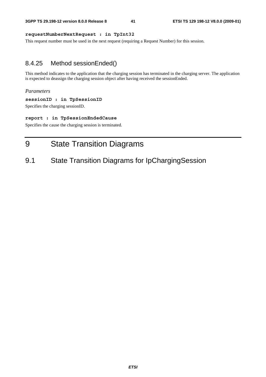#### **requestNumberNextRequest : in TpInt32**

This request number must be used in the next request (requiring a Request Number) for this session.

### 8.4.25 Method sessionEnded()

This method indicates to the application that the charging session has terminated in the charging server. The application is expected to deassign the charging session object after having received the sessionEnded.

#### *Parameters*

#### **sessionID : in TpSessionID**

Specifies the charging sessionID.

#### **report : in TpSessionEndedCause**

Specifies the cause the charging session is terminated.

## 9 State Transition Diagrams

## 9.1 State Transition Diagrams for IpChargingSession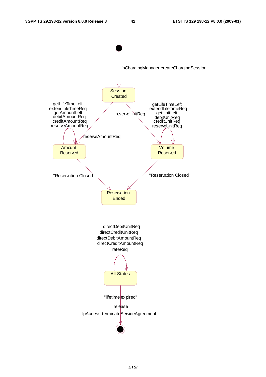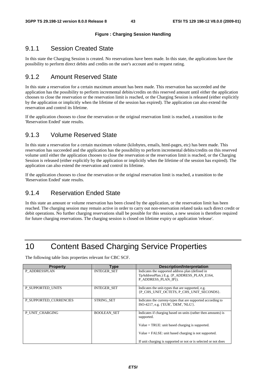#### **Figure : Charging Session Handling**

## 9.1.1 Session Created State

In this state the Charging Session is created. No reservations have been made. In this state, the applications have the possibility to perform direct debits and credits on the user's account and to request rating.

## 9.1.2 Amount Reserved State

In this state a reservation for a certain maximum amount has been made. This reservation has succeeded and the application has the possibility to perform incremental debits/credits on this reserved amount until either the application chooses to close the reservation or the reservation limit is reached, or the Charging Session is released (either explicitly by the application or implicitly when the lifetime of the session has expired). The application can also extend the reservation and control its lifetime.

If the application chooses to close the reservation or the original reservation limit is reached, a transition to the 'Reservation Ended' state results.

## 9.1.3 Volume Reserved State

In this state a reservation for a certain maximum volume (kilobytes, emails, html-pages, etc) has been made. This reservation has succeeded and the application has the possibility to perform incremental debits/credits on this reserved volume until either the application chooses to close the reservation or the reservation limit is reached, or the Charging Session is released (either explicitly by the application or implicitly when the lifetime of the session has expired). The application can also extend the reservation and control its lifetime.

If the application chooses to close the reservation or the original reservation limit is reached, a transition to the 'Reservation Ended' state results.

## 9.1.4 Reservation Ended State

In this state an amount or volume reservation has been closed by the application, or the reservation limit has been reached. The charging session may remain active in order to carry out non-reservation related tasks such direct credit or debit operations. No further charging reservations shall be possible for this session, a new session is therefore required for future charging reservations. The charging session is closed on lifetime expiry or application 'release'.

## 10 Content Based Charging Service Properties

The following table lists properties relevant for CBC SCF.

| <b>Property</b>        | Type               | <b>Description/Interpretation</b>                                                                                      |
|------------------------|--------------------|------------------------------------------------------------------------------------------------------------------------|
| P ADDRESSPLAN          | <b>INTEGER SET</b> | Indicates the supported address plan (defined in<br>TpAddressPlan.) E.g. {P_ADDRESS_PLAN_E164,<br>P ADDRESS PLAN IP}). |
| P SUPPORTED UNITS      | <b>INTEGER SET</b> | Indicates the unit-types that are supported, e.g.<br>{P CHS UNIT OCTETS, P CHS UNIT SECONDS}.                          |
| P SUPPORTED CURRENCIES | <b>STRING SET</b>  | Indicates the curreny-types that are supported according to<br>ISO-4217, e.g. {'EUR', 'DEM', 'NLG'}.                   |
| P UNIT CHARGING        | <b>BOOLEAN SET</b> | Indicates if charging based on units (rather then amounts) is<br>supported.                                            |
|                        |                    | Value $=$ TRUE: unit based charging is supported.                                                                      |
|                        |                    | $Value = FALSE: unit based charging is not supported.$                                                                 |
|                        |                    | If unit charging is supported or not or is selected or not does                                                        |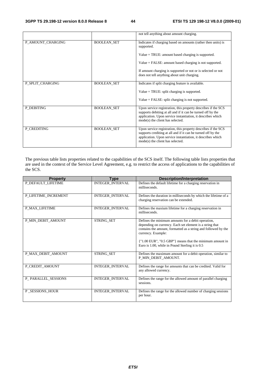|                   |                    | not tell anything about amount charging.                                                                                                                                                                                                                                                                     |
|-------------------|--------------------|--------------------------------------------------------------------------------------------------------------------------------------------------------------------------------------------------------------------------------------------------------------------------------------------------------------|
| P_AMOUNT_CHARGING | <b>BOOLEAN SET</b> | Indicates if charging based on amounts (rather then units) is<br>supported.<br>$Value = TRUE$ : amount based charging is supported.<br>Value = FALSE: amount based charging is not supported.<br>If amount charging is supported or not or is selected or not<br>does not tell anything about unit charging. |
| P SPLIT CHARGING  | <b>BOOLEAN SET</b> | Indicates if split charging feature is available.<br>Value = TRUE: split charging is supported.<br>$Value = FALSE: split charging is not supported.$                                                                                                                                                         |
| P_DEBITING        | <b>BOOLEAN_SET</b> | Upon service registration, this property describes if the SCS<br>supports debiting at all and if it can be turned off by the<br>application. Upon service instantiation, it describes which<br>mode(s) the client has selected.                                                                              |
| P CREDITING       | <b>BOOLEAN SET</b> | Upon service registration, this property describes if the SCS<br>supports crediting at all and if it can be turned off by the<br>application. Upon service instantiation, it describes which<br>mode(s) the client has selected.                                                                             |

The previous table lists properties related to the capabilities of the SCS itself. The following table lists properties that are used in the context of the Service Level Agreement, e.g. to restrict the access of applications to the capabilities of the SCS.

| <b>Property</b>       | Type             | <b>Description/Interpretation</b>                                                                                                                                                                                                                                                                                     |
|-----------------------|------------------|-----------------------------------------------------------------------------------------------------------------------------------------------------------------------------------------------------------------------------------------------------------------------------------------------------------------------|
| P_DEFAULT_LIFETIME    | INTEGER_INTERVAL | Defines the default lifetime for a charging reservation in<br>milliseconds.                                                                                                                                                                                                                                           |
| P_LIFETIME_INCREMENT  | INTEGER_INTERVAL | Defines the duration in milliseconds by which the lifetime of a<br>charging reservation can be extended.                                                                                                                                                                                                              |
| <b>P_MAX_LIFETIME</b> | INTEGER_INTERVAL | Defines the maxium lifetime for a charging reservation in<br>milliseconds.                                                                                                                                                                                                                                            |
| P_MIN_DEBIT_AMOUNT    | STRING_SET       | Defines the minimum amounts for a debit operation,<br>depending on currency. Each set element is a string that<br>contains the amount, formatted as a string and followed by the<br>currency. Example:<br>{"1.00 EUR", "0.5 GBP"} means that the minimum amount in<br>Euro is 1.00, while in Pound Sterling it is 0.5 |
| P_MAX_DEBIT_AMOUNT    | STRING_SET       | Defines the maximum amount for a debit operation, similar to<br>P_MIN_DEBIT_AMOUNT.                                                                                                                                                                                                                                   |
| P_CREDIT_AMOUNT       | INTEGER_INTERVAL | Defines the range for amounts that can be credited. Valid for<br>any allowed currency.                                                                                                                                                                                                                                |
| P_PARALLEL_SESSIONS   | INTEGER_INTERVAL | Defines the range for the allowed amount of parallel charging<br>sessions.                                                                                                                                                                                                                                            |
| P SESSIONS HOUR       | INTEGER_INTERVAL | Defines the range for the allowed number of charging sessions<br>per hour.                                                                                                                                                                                                                                            |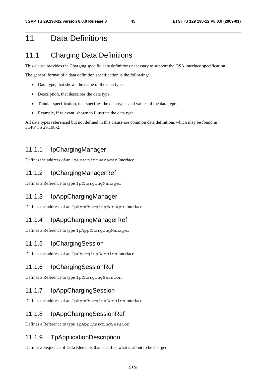## 11 Data Definitions

## 11.1 Charging Data Definitions

This clause provides the Charging specific data definitions necessary to support the OSA interface specification.

The general format of a data definition specification is the following:

- Data type, that shows the name of the data type.
- Description, that describes the data type.
- Tabular specification, that specifies the data types and values of the data type.
- Example, if relevant, shown to illustrate the data type.

All data types referenced but not defined in this clause are common data definitions which may be found in 3GPP TS 29.198-2.

### 11.1.1 IpChargingManager

Defines the address of an IpChargingManager Interface.

### 11.1.2 IpChargingManagerRef

Defines a Reference to type IpChargingManager

### 11.1.3 IpAppChargingManager

Defines the address of an IpAppChargingManager Interface.

## 11.1.4 IpAppChargingManagerRef

Defines a Reference to type IpAppChargingManager

### 11.1.5 IpChargingSession

Defines the address of an IpChargingSession Interface.

### 11.1.6 IpChargingSessionRef

Defines a Reference to type IpChargingSession

### 11.1.7 IpAppChargingSession

Defines the address of an IpAppChargingSession Interface.

### 11.1.8 IpAppChargingSessionRef

Defines a Reference to type IpAppChargingSession

### 11.1.9 TpApplicationDescription

Defines a Sequence of Data Elements that specifies what is about to be charged.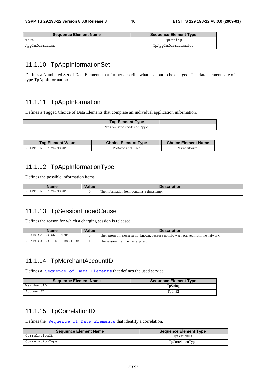| <b>Sequence Element Name</b> | Sequence Element Type |
|------------------------------|-----------------------|
| Text                         | TpString              |
| AppInformation               | TpAppInformationSet   |

## 11.1.10 TpAppInformationSet

Defines a Numbered Set of Data Elements that further describe what is about to be charged. The data elements are of type TpAppInformation.

## 11.1.11 TpAppInformation

Defines a Tagged Choice of Data Elements that comprise an individual application information.

| <b>Tag Element Type</b> |  |
|-------------------------|--|
| TpAppInformationType    |  |

| <b>Tag Element Value</b> | <b>Choice Element Type</b> | <b>Choice Element Name</b> |
|--------------------------|----------------------------|----------------------------|
| P APP INF TIMESTAMP      | ToDateAndTime              | Timestamp                  |

## 11.1.12 TpAppInformationType

Defines the possible information items.

| Na<br>$\overline{\phantom{a}}$<br>ше                         | $\overline{\phantom{a}}$<br>alut/ |                                                              |
|--------------------------------------------------------------|-----------------------------------|--------------------------------------------------------------|
| IMESTAMP<br>INF<br>APP<br>$\overline{\phantom{0}}$<br>.<br>۰ |                                   | m<br>i contains a timestamp.<br>'ne<br>e information<br>1tem |

## 11.1.13 TpSessionEndedCause

Defines the reason for which a charging session is released.

| <b>Name</b>                       | Value | <b>Description</b>                                                                 |
|-----------------------------------|-------|------------------------------------------------------------------------------------|
| CAUSE UNDEFINED<br>P CHS          |       | The reason of release is not known, because no info was received from the network. |
| CAUSE TIMER EXPIRED<br>P CHS<br>– |       | The session lifetime has expired.                                                  |

## 11.1.14 TpMerchantAccountID

Defines a Sequence of Data Elements that defines the used service.

| <b>Sequence Element Name</b> | <b>Sequence Element Type</b> |
|------------------------------|------------------------------|
| MerchantID                   | TpString                     |
| AccountID                    | TpInt32                      |

### 11.1.15 TpCorrelationID

Defines the Sequence of Data Elements that identify a correlation.

| <b>Sequence Element Name</b> | <b>Sequence Element Type</b> |
|------------------------------|------------------------------|
| CorrelationID                | TpSessionID                  |
| CorrelationType              | TpCorrelationType            |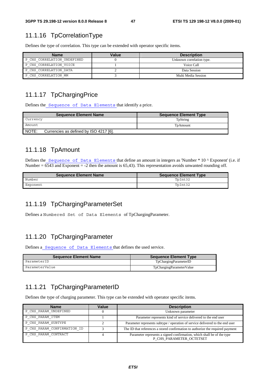## 11.1.16 TpCorrelationType

Defines the type of correlation. This type can be extended with operator specific items.

| <b>Name</b>                 | Value | <b>Description</b>        |
|-----------------------------|-------|---------------------------|
| P CHS CORRELATION UNDEFINED |       | Unknown correlation type. |
| P CHS CORRELATION VOICE     |       | Voice Call                |
| P CHS CORRELATION DATA      |       | Data Session              |
| P CHS CORRELATION MM        |       | Multi Media Session       |

## 11.1.17 TpChargingPrice

Defines the Sequence of Data Elements that identify a price.

| <b>Sequence Element Name</b>                    | <b>Sequence Element Type</b> |
|-------------------------------------------------|------------------------------|
| Currency                                        | TpString                     |
| Amount.                                         | TpAmount                     |
| NOTE:<br>Currencies as defined by ISO 4217 [6]. |                              |

## 11.1.18 TpAmount

Defines the Sequence of Data Elements that define an amount in integers as 'Number \* 10 ^ Exponent' (i.e. if Number =  $6543$  and Exponent = -2 then the amount is 65,43). This representation avoids unwanted rounding off.

| <b>Sequence Element Name</b> | <b>Sequence Element Type</b> |
|------------------------------|------------------------------|
| Number                       | TpInt32                      |
| Exponent                     | TpInt32                      |

## 11.1.19 TpChargingParameterSet

Defines a Numbered Set of Data Elements of TpChargingParameter.

## 11.1.20 TpChargingParameter

Defines a Sequence of Data Elements that defines the used service.

| <b>Sequence Element Name</b> | Sequence Element Type    |
|------------------------------|--------------------------|
| ParameterID                  | TpChargingParameterID    |
| ParameterValue               | TpChargingParameterValue |

## 11.1.21 TpChargingParameterID

Defines the type of charging parameter. This type can be extended with operator specific items.

| <b>Name</b>                 | Value | <b>Description</b>                                                                                 |
|-----------------------------|-------|----------------------------------------------------------------------------------------------------|
| P CHS PARAM UNDEFINED       |       | Unknown parameter                                                                                  |
| P CHS PARAM ITEM            |       | Parameter represents kind of service delivered to the end user                                     |
| P CHS PARAM SUBTYPE         |       | Parameter represents subtype / operation of service delivered to the end user                      |
| P CHS PARAM CONFIRMATION ID |       | The ID that references a stored confirmation to authorize the required payment                     |
| P CHS PARAM CONTRACT        |       | Parameter represents a signed confirmation, which shall be of the type<br>P CHS PARAMETER OCTETSET |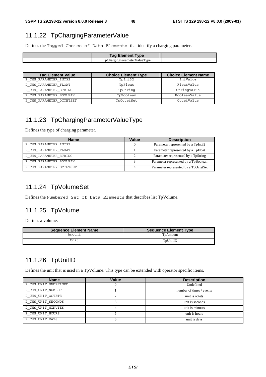## 11.1.22 TpChargingParameterValue

Defines the Tagged Choice of Data Elements that identify a charging parameter.

| <b>Tag Element Type</b>      |  |
|------------------------------|--|
| TpChargingParameterValueType |  |

| <b>Tag Element Value</b> | <b>Choice Element Type</b> | <b>Choice Element Name</b> |
|--------------------------|----------------------------|----------------------------|
| P CHS PARAMETER INT32    | TpInt32                    | IntValue                   |
| P CHS PARAMETER FLOAT    | TpFloat                    | FloatValue                 |
| P CHS PARAMETER STRING   | TpString                   | StringValue                |
| P CHS PARAMETER BOOLEAN  | TpBoolean                  | BooleanValue               |
| P CHS PARAMETER OCTETSET | TpOctetSet                 | OctetValue                 |

## 11.1.23 TpChargingParameterValueType

Defines the type of charging parameter.

| <b>Name</b>              | Value | <b>Description</b>                    |
|--------------------------|-------|---------------------------------------|
| P CHS PARAMETER INT32    |       | Parameter represented by a TpInt32    |
| P CHS PARAMETER FLOAT    |       | Parameter represented by a TpFloat    |
| P CHS PARAMETER STRING   |       | Parameter represented by a TpString   |
| P CHS PARAMETER BOOLEAN  |       | Parameter represented by a TpBoolean  |
| P CHS PARAMETER OCTETSET |       | Parameter represented by a TpOctetSet |

## 11.1.24 TpVolumeSet

Defines the Numbered Set of Data Elements that describes list TpVolume.

## 11.1.25 TpVolume

Defines a volume.

| <b>Sequence Element Name</b> | <b>Sequence Element Type</b> |
|------------------------------|------------------------------|
| Amount                       | TpAmount                     |
| Unit                         | TpUnitID                     |

## 11.1.26 TpUnitID

Defines the unit that is used in a TpVolume. This type can be extended with operator specific items.

| <b>Name</b>          | Value | <b>Description</b>       |
|----------------------|-------|--------------------------|
| P CHS UNIT UNDEFINED |       | Undefined                |
| P CHS UNIT NUMBER    |       | number of times / events |
| P CHS UNIT OCTETS    |       | unit is octets           |
| P CHS UNIT SECONDS   |       | unit is seconds          |
| P CHS UNIT MINUTES   |       | unit is minutes          |
| P CHS UNIT HOURS     |       | unit is hours            |
| P CHS UNIT DAYS      |       | unit is days             |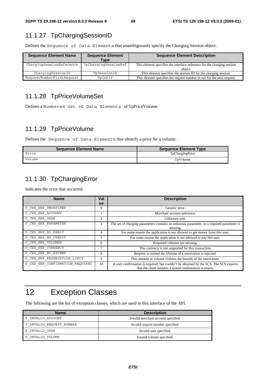## 11.1.27 TpChargingSessionID

Defines the Sequence of Data Elements that unambiguously specify the Charging Session object.

| <b>Sequence Element Name</b> | <b>Sequence Element</b><br>Type | <b>Sequence Element Description</b>                                                |
|------------------------------|---------------------------------|------------------------------------------------------------------------------------|
| ChargingSessionReference     | IpChargingSessionRef            | This element specifies the interface reference for the charging session<br>object. |
| ChargingSessionID            | TpSessionID                     | This element specifies the session ID for the charging session.                    |
| RequestNumberFirstRequest    | TpInt32                         | This element specifies the request number to use for the next request.             |

## 11.1.28 TpPriceVolumeSet

Defines a Numbered Set of Data Elements of TpPriceVolume.

## 11.1.29 TpPriceVolume

Defines the Sequence of Data Elements that identify a price for a volume.

| <b>Sequence Element Name</b> | Sequence Element Type |
|------------------------------|-----------------------|
| Price                        | TpChargingPrice       |
| Volume                       | TpVolume              |

## 11.1.30 TpChargingError

Indicates the error that occurred.

| <b>Name</b>                     | Val            | <b>Description</b>                                                                                                                                 |
|---------------------------------|----------------|----------------------------------------------------------------------------------------------------------------------------------------------------|
|                                 | ue             |                                                                                                                                                    |
| P CHS ERR UNDEFINED             | $\Omega$       | Generic error.                                                                                                                                     |
| P CHS ERR ACCOUNT               |                | Merchant account unknown.                                                                                                                          |
| P CHS ERR USER                  | $\overline{c}$ | Unknown user.                                                                                                                                      |
| P CHS ERR PARAMETER             | 3              | The set of charging parameters contains an unknown parameter, or a required parameter is<br>missing.                                               |
| P CHS ERR NO DEBIT              | 4              | For some reason the application is not allowed to get money from this user.                                                                        |
| P CHS ERR NO CREDIT             | 5              | For some reason the application is not allowed to pay this user.                                                                                   |
| P CHS ERR VOLUMES               | 6              | Required volumes are missing.                                                                                                                      |
| P CHS ERR CURRENCY              | 7              | This currency is not supported for this transaction.                                                                                               |
| P CHS ERR NO EXTEND             | 8              | Request to extend the lifetime of a reservation is rejected.                                                                                       |
| P CHS ERR RESERVATION LIMIT     | 9              | This amount or volume violates the bounds of the reservation.                                                                                      |
| P CHS ERR CONFIRMATION REQUIRED | 10             | A user confirmation is required, but couldn't be obtained by the SCS. The SCS expects<br>that the client initiates a stored confirmation scenario. |

## 12 Exception Classes

The following are the list of exception classes, which are used in this interface of the API.

| <b>Name</b>              | <b>Description</b>                  |
|--------------------------|-------------------------------------|
| P INVALID ACCOUNT        | Invalid merchant account specified. |
| P INVALID REQUEST NUMBER | Invalid request number specified.   |
| P INVALID USER           | Invalid user specified.             |
| P INVALID VOLUME         | Invalid volume specified.           |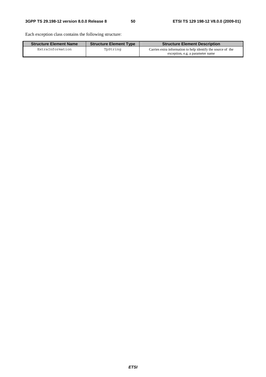Each exception class contains the following structure:

| <b>Structure Element Name</b> | <b>Structure Element Type</b> | <b>Structure Element Description</b>                                                             |
|-------------------------------|-------------------------------|--------------------------------------------------------------------------------------------------|
| ExtraInformation              | TpString                      | Carries extra information to help identify the source of the<br>exception, e.g. a parameter name |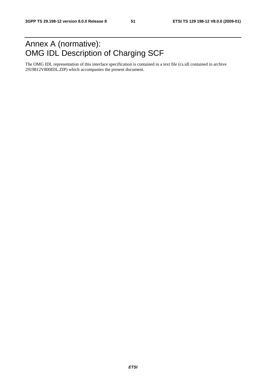## Annex A (normative): OMG IDL Description of Charging SCF

The OMG IDL representation of this interface specification is contained in a text file (cs.idl contained in archive 2919812V800IDL.ZIP) which accompanies the present document.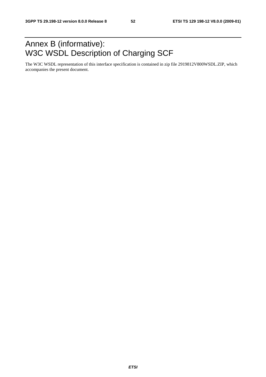## Annex B (informative): W3C WSDL Description of Charging SCF

The W3C WSDL representation of this interface specification is contained in zip file 2919812V800WSDL.ZIP, which accompanies the present document.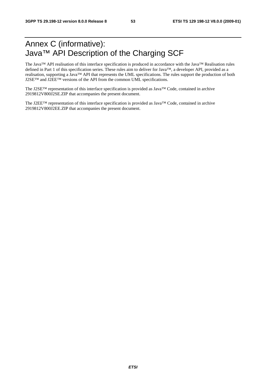## Annex C (informative): Java™ API Description of the Charging SCF

The Java™ API realisation of this interface specification is produced in accordance with the Java™ Realisation rules defined in Part 1 of this specification series. These rules aim to deliver for Java™, a developer API, provided as a realisation, supporting a Java™ API that represents the UML specifications. The rules support the production of both J2SE™ and J2EE™ versions of the API from the common UML specifications.

The J2SE™ representation of this interface specification is provided as Java™ Code, contained in archive 2919812V800J2SE.ZIP that accompanies the present document.

The J2EE™ representation of this interface specification is provided as Java™ Code, contained in archive 2919812V800J2EE.ZIP that accompanies the present document.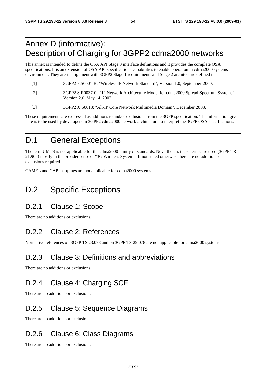## Annex D (informative): Description of Charging for 3GPP2 cdma2000 networks

This annex is intended to define the OSA API Stage 3 interface definitions and it provides the complete OSA specifications. It is an extension of OSA API specifications capabilities to enable operation in cdma2000 systems environment. They are in alignment with 3GPP2 Stage 1 requirements and Stage 2 architecture defined in

| - [1]             | 3GPP2 P.S0001-B: "Wireless IP Network Standard", Version 1.0, September 2000;                                        |
|-------------------|----------------------------------------------------------------------------------------------------------------------|
| $\lceil 2 \rceil$ | 3GPP2 S.R0037-0: "IP Network Architecture Model for cdma2000 Spread Spectrum Systems",<br>Version 2.0, May 14, 2002; |

[3] 3GPP2 X.S0013: "All-IP Core Network Multimedia Domain", December 2003.

These requirements are expressed as additions to and/or exclusions from the 3GPP specification. The information given here is to be used by developers in 3GPP2 cdma2000 network architecture to interpret the 3GPP OSA specifications.

## D.1 General Exceptions

The term UMTS is not applicable for the cdma2000 family of standards. Nevertheless these terms are used (3GPP TR 21.905) mostly in the broader sense of "3G Wireless System". If not stated otherwise there are no additions or exclusions required.

CAMEL and CAP mappings are not applicable for cdma2000 systems.

## D.2 Specific Exceptions

## D.2.1 Clause 1: Scope

There are no additions or exclusions.

## D.2.2 Clause 2: References

Normative references on 3GPP TS 23.078 and on 3GPP TS 29.078 are not applicable for cdma2000 systems.

## D.2.3 Clause 3: Definitions and abbreviations

There are no additions or exclusions.

## D.2.4 Clause 4: Charging SCF

There are no additions or exclusions.

## D.2.5 Clause 5: Sequence Diagrams

There are no additions or exclusions.

## D.2.6 Clause 6: Class Diagrams

There are no additions or exclusions.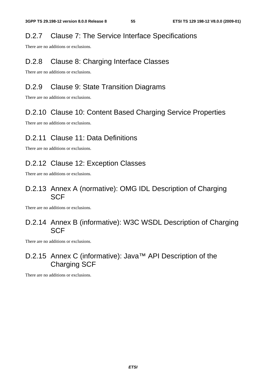## D.2.7 Clause 7: The Service Interface Specifications

There are no additions or exclusions.

## D.2.8 Clause 8: Charging Interface Classes

There are no additions or exclusions.

## D.2.9 Clause 9: State Transition Diagrams

There are no additions or exclusions.

## D.2.10 Clause 10: Content Based Charging Service Properties

There are no additions or exclusions.

## D.2.11 Clause 11: Data Definitions

There are no additions or exclusions.

## D.2.12 Clause 12: Exception Classes

There are no additions or exclusions.

## D.2.13 Annex A (normative): OMG IDL Description of Charging SCF

There are no additions or exclusions.

## D.2.14 Annex B (informative): W3C WSDL Description of Charging **SCF**

There are no additions or exclusions.

## D.2.15 Annex C (informative): Java™ API Description of the Charging SCF

There are no additions or exclusions.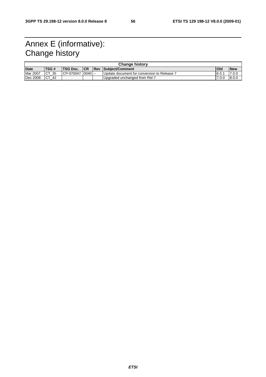## Annex E (informative): Change history

| <b>Change history</b>                                                              |                  |            |            |            |                                             |       |        |
|------------------------------------------------------------------------------------|------------------|------------|------------|------------|---------------------------------------------|-------|--------|
| <b>ITSG#</b><br><b>TSG Doc.</b><br>Date<br><b>CR</b><br><b>Rev Subiect/Comment</b> |                  |            | <b>Ola</b> | <b>New</b> |                                             |       |        |
| <b>Mar 2007</b>                                                                    | ICT<br>-35       | ICP-070047 | ີ 10040 I  |            | I Update document for conversion to Release | 16.5. | 7.0.0  |
| Dec 2008                                                                           | <b>CT</b><br>-42 |            |            |            | Upgraded unchanged from Rel-7               | 7.0.0 | 18.0.0 |